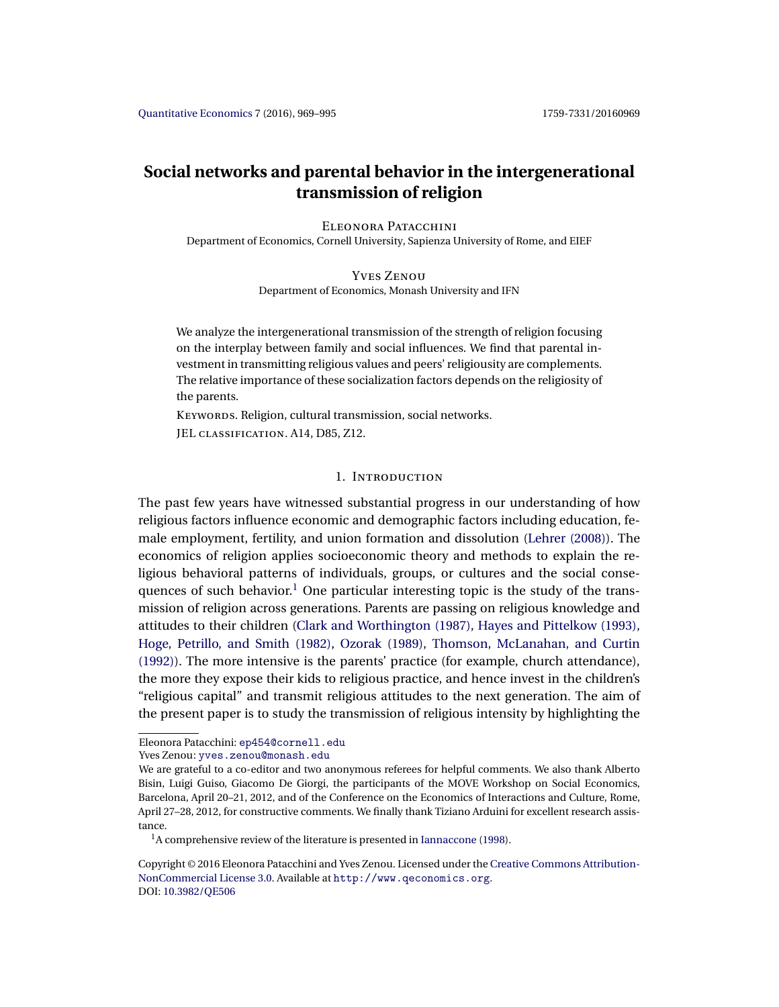# <span id="page-0-0"></span>**Social networks and parental behavior in the intergenerational transmission of religion**

### Eleonora Patacchini

Department of Economics, Cornell University, Sapienza University of Rome, and EIEF

# Yves Zenou Department of Economics, Monash University and IFN

We analyze the intergenerational transmission of the strength of religion focusing on the interplay between family and social influences. We find that parental investment in transmitting religious values and peers' religiousity are complements. The relative importance of these socialization factors depends on the religiosity of the parents.

KEYWORDS. Religion, cultural transmission, social networks.

JEL CLASSIFICATION. A14, D85, Z12.

# 1. Introduction

The past few years have witnessed substantial progress in our understanding of how religious factors influence economic and demographic factors including education, female employment, fertility, and union formation and dissolution [\(Lehrer \(2008\)\)](#page-25-0). The economics of religion applies socioeconomic theory and methods to explain the religious behavioral patterns of individuals, groups, or cultures and the social consequences of such behavior.<sup>1</sup> One particular interesting topic is the study of the transmission of religion across generations. Parents are passing on religious knowledge and attitudes to their children [\(Clark and Worthington \(1987\),](#page-23-0) [Hayes and Pittelkow \(1993\),](#page-24-0) [Hoge, Petrillo, and Smith \(1982\),](#page-24-0) [Ozorak \(1989\),](#page-25-0) [Thomson, McLanahan, and Curtin](#page-26-0) [\(1992\)\)](#page-26-0). The more intensive is the parents' practice (for example, church attendance), the more they expose their kids to religious practice, and hence invest in the children's "religious capital" and transmit religious attitudes to the next generation. The aim of the present paper is to study the transmission of religious intensity by highlighting the

Eleonora Patacchini: [ep454@cornell.edu](mailto:ep454@cornell.edu)

Yves Zenou: [yves.zenou@monash.edu](mailto:yves.zenou@monash.edu)

We are grateful to a co-editor and two anonymous referees for helpful comments. We also thank Alberto Bisin, Luigi Guiso, Giacomo De Giorgi, the participants of the MOVE Workshop on Social Economics, Barcelona, April 20–21, 2012, and of the Conference on the Economics of Interactions and Culture, Rome, April 27–28, 2012, for constructive comments. We finally thank Tiziano Arduini for excellent research assistance.

<sup>&</sup>lt;sup>1</sup>A comprehensive review of the literature is presented in [Iannaccone](#page-24-0) [\(1998\)](#page-24-0).

Copyright © 2016 Eleonora Patacchini and Yves Zenou. Licensed under the [Creative Commons Attribution-](http://creativecommons.org/licenses/by-nc/3.0/)[NonCommercial License 3.0.](http://creativecommons.org/licenses/by-nc/3.0/) Available at [http://www.qeconomics.org](http://www.qeconomics.org/). DOI: [10.3982/QE506](http://dx.doi.org/10.3982/QE506)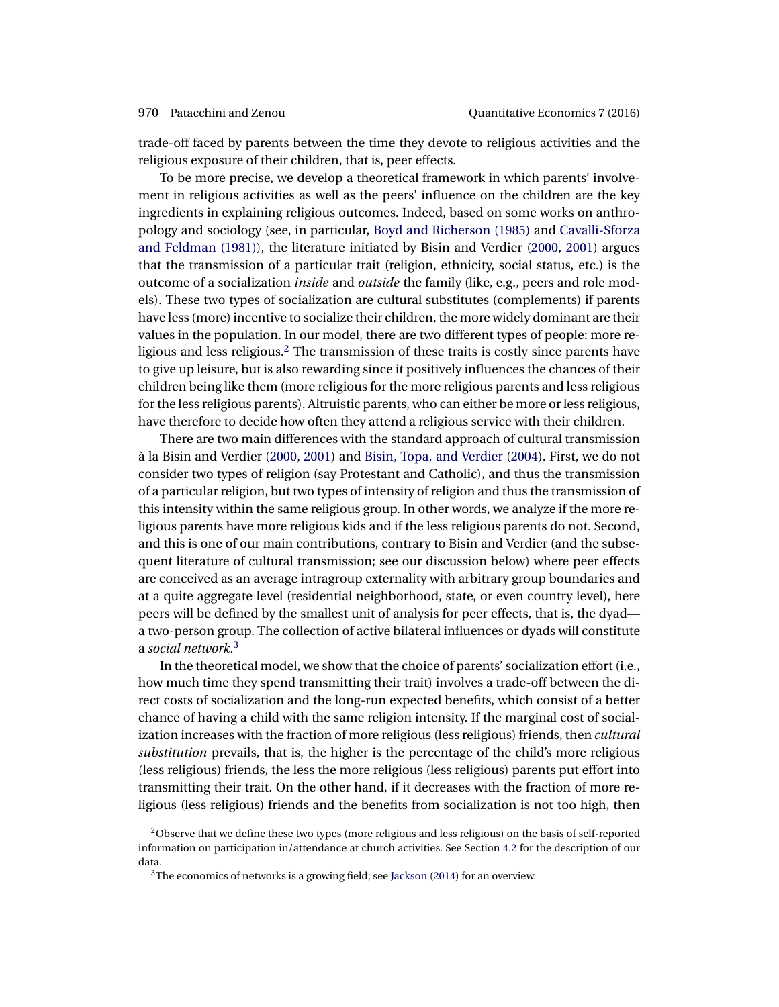<span id="page-1-0"></span>trade-off faced by parents between the time they devote to religious activities and the religious exposure of their children, that is, peer effects.

To be more precise, we develop a theoretical framework in which parents' involvement in religious activities as well as the peers' influence on the children are the key ingredients in explaining religious outcomes. Indeed, based on some works on anthropology and sociology (see, in particular, [Boyd and Richerson \(1985\)](#page-23-0) and [Cavalli-Sforza](#page-23-0) [and Feldman \(1981\)\)](#page-23-0), the literature initiated by Bisin and Verdier [\(2000,](#page-23-0) [2001\)](#page-23-0) argues that the transmission of a particular trait (religion, ethnicity, social status, etc.) is the outcome of a socialization *inside* and *outside* the family (like, e.g., peers and role models). These two types of socialization are cultural substitutes (complements) if parents have less (more) incentive to socialize their children, the more widely dominant are their values in the population. In our model, there are two different types of people: more religious and less religious.<sup>2</sup> The transmission of these traits is costly since parents have to give up leisure, but is also rewarding since it positively influences the chances of their children being like them (more religious for the more religious parents and less religious for the less religious parents). Altruistic parents, who can either be more or less religious, have therefore to decide how often they attend a religious service with their children.

There are two main differences with the standard approach of cultural transmission à la Bisin and Verdier [\(2000,](#page-23-0) [2001\)](#page-23-0) and [Bisin, Topa, and Verdier](#page-23-0) [\(2004\)](#page-23-0). First, we do not consider two types of religion (say Protestant and Catholic), and thus the transmission of a particular religion, but two types of intensity of religion and thus the transmission of this intensity within the same religious group. In other words, we analyze if the more religious parents have more religious kids and if the less religious parents do not. Second, and this is one of our main contributions, contrary to Bisin and Verdier (and the subsequent literature of cultural transmission; see our discussion below) where peer effects are conceived as an average intragroup externality with arbitrary group boundaries and at a quite aggregate level (residential neighborhood, state, or even country level), here peers will be defined by the smallest unit of analysis for peer effects, that is, the dyad a two-person group. The collection of active bilateral influences or dyads will constitute a *social network*. 3

In the theoretical model, we show that the choice of parents' socialization effort (i.e., how much time they spend transmitting their trait) involves a trade-off between the direct costs of socialization and the long-run expected benefits, which consist of a better chance of having a child with the same religion intensity. If the marginal cost of socialization increases with the fraction of more religious (less religious) friends, then *cultural substitution* prevails, that is, the higher is the percentage of the child's more religious (less religious) friends, the less the more religious (less religious) parents put effort into transmitting their trait. On the other hand, if it decreases with the fraction of more religious (less religious) friends and the benefits from socialization is not too high, then

 $2$ Observe that we define these two types (more religious and less religious) on the basis of self-reported information on participation in/attendance at church activities. See Section [4.2](#page-10-0) for the description of our data.

 $3$ The economics of networks is a growing field; see [Jackson](#page-25-0) [\(2014\)](#page-25-0) for an overview.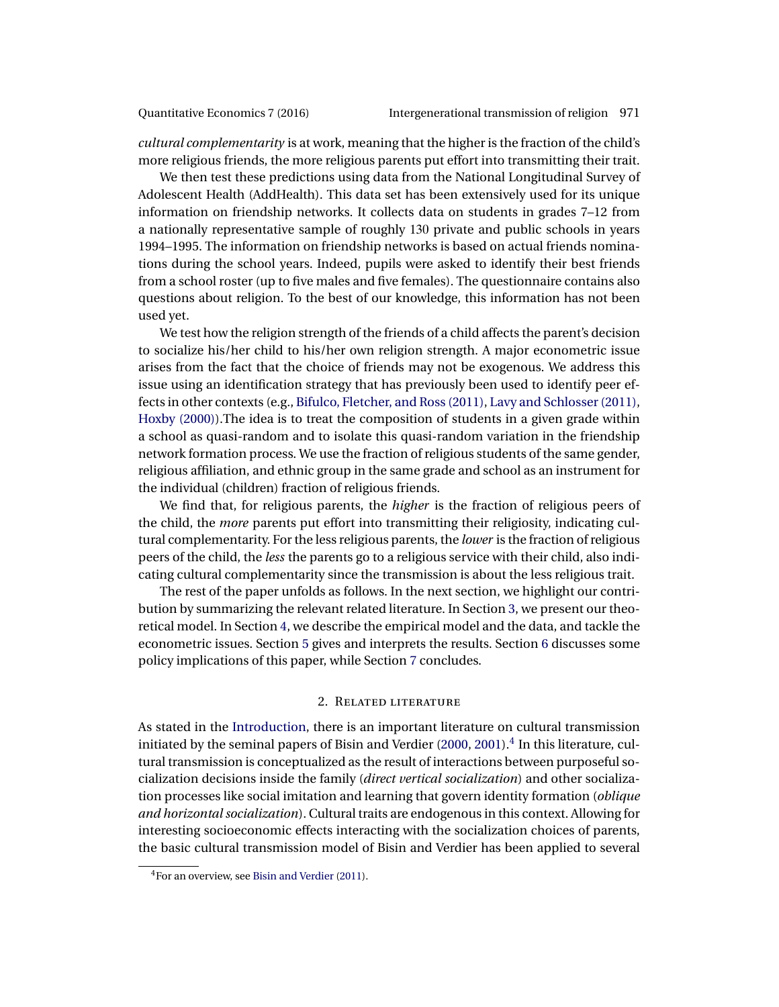<span id="page-2-0"></span>*cultural complementarity* is at work, meaning that the higher is the fraction of the child's more religious friends, the more religious parents put effort into transmitting their trait.

We then test these predictions using data from the National Longitudinal Survey of Adolescent Health (AddHealth). This data set has been extensively used for its unique information on friendship networks. It collects data on students in grades 7–12 from a nationally representative sample of roughly 130 private and public schools in years 1994–1995. The information on friendship networks is based on actual friends nominations during the school years. Indeed, pupils were asked to identify their best friends from a school roster (up to five males and five females). The questionnaire contains also questions about religion. To the best of our knowledge, this information has not been used yet.

We test how the religion strength of the friends of a child affects the parent's decision to socialize his/her child to his/her own religion strength. A major econometric issue arises from the fact that the choice of friends may not be exogenous. We address this issue using an identification strategy that has previously been used to identify peer effects in other contexts (e.g., [Bifulco, Fletcher, and Ross \(2011\),](#page-22-0) [Lavy and Schlosser \(2011\),](#page-25-0) [Hoxby \(2000\)\)](#page-24-0).The idea is to treat the composition of students in a given grade within a school as quasi-random and to isolate this quasi-random variation in the friendship network formation process. We use the fraction of religious students of the same gender, religious affiliation, and ethnic group in the same grade and school as an instrument for the individual (children) fraction of religious friends.

We find that, for religious parents, the *higher* is the fraction of religious peers of the child, the *more* parents put effort into transmitting their religiosity, indicating cultural complementarity. For the less religious parents, the *lower* is the fraction of religious peers of the child, the *less* the parents go to a religious service with their child, also indicating cultural complementarity since the transmission is about the less religious trait.

The rest of the paper unfolds as follows. In the next section, we highlight our contribution by summarizing the relevant related literature. In Section [3,](#page-4-0) we present our theoretical model. In Section [4,](#page-10-0) we describe the empirical model and the data, and tackle the econometric issues. Section [5](#page-15-0) gives and interprets the results. Section [6](#page-19-0) discusses some policy implications of this paper, while Section [7](#page-22-0) concludes.

# 2. Related literature

As stated in the [Introduction,](#page-0-0) there is an important literature on cultural transmission initiated by the seminal papers of Bisin and Verdier  $(2000, 2001)$  $(2000, 2001)$  $(2000, 2001)$ .<sup>4</sup> In this literature, cultural transmission is conceptualized as the result of interactions between purposeful socialization decisions inside the family (*direct vertical socialization*) and other socialization processes like social imitation and learning that govern identity formation (*oblique and horizontal socialization*). Cultural traits are endogenous in this context. Allowing for interesting socioeconomic effects interacting with the socialization choices of parents, the basic cultural transmission model of Bisin and Verdier has been applied to several

<sup>4</sup>For an overview, see [Bisin and Verdier](#page-23-0) [\(2011\)](#page-23-0).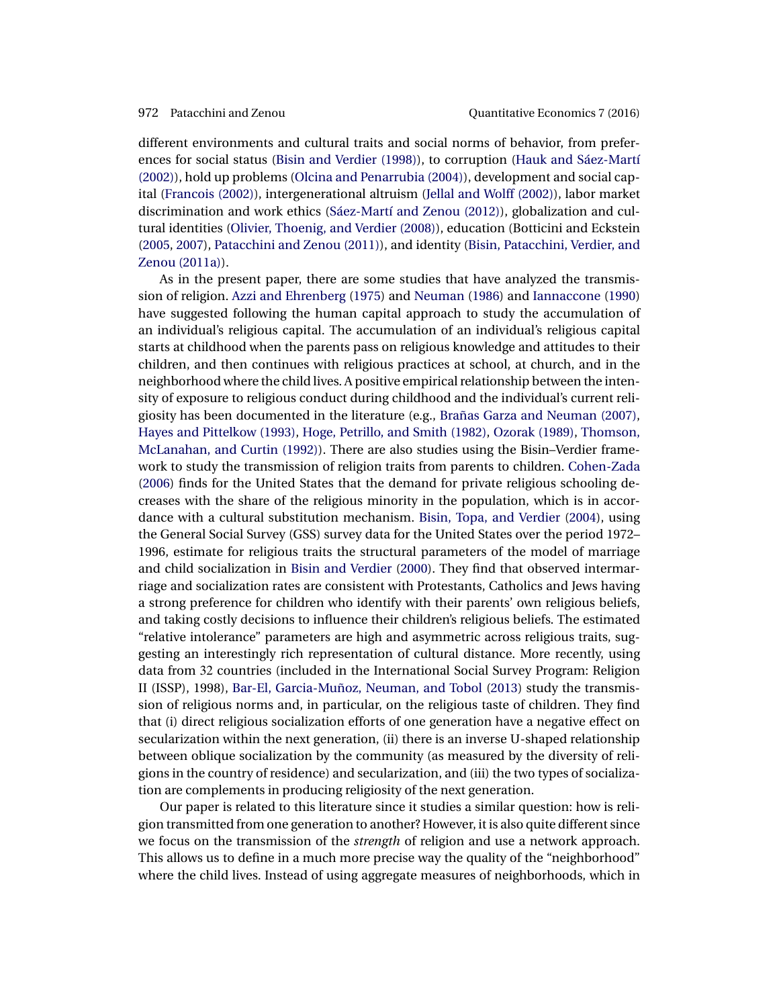<span id="page-3-0"></span>different environments and cultural traits and social norms of behavior, from preferences for social status [\(Bisin and Verdier \(1998\)\)](#page-23-0), to corruption [\(Hauk and Sáez-Martí](#page-24-0) [\(2002\)\)](#page-24-0), hold up problems [\(Olcina and Penarrubia \(2004\)\)](#page-25-0), development and social capital [\(Francois \(2002\)\)](#page-24-0), intergenerational altruism [\(Jellal and Wolff \(2002\)\)](#page-25-0), labor market discrimination and work ethics [\(Sáez-Martí and Zenou \(2012\)\)](#page-25-0), globalization and cultural identities [\(Olivier, Thoenig, and Verdier \(2008\)\)](#page-25-0), education (Botticini and Eckstein [\(2005,](#page-23-0) [2007\)](#page-23-0), [Patacchini and Zenou \(2011\)\)](#page-25-0), and identity [\(Bisin, Patacchini, Verdier, and](#page-22-0) [Zenou \(2011a\)\)](#page-22-0).

As in the present paper, there are some studies that have analyzed the transmission of religion. [Azzi and Ehrenberg](#page-22-0) [\(1975\)](#page-22-0) and [Neuman](#page-25-0) [\(1986\)](#page-25-0) and [Iannaccone](#page-24-0) [\(1990\)](#page-24-0) have suggested following the human capital approach to study the accumulation of an individual's religious capital. The accumulation of an individual's religious capital starts at childhood when the parents pass on religious knowledge and attitudes to their children, and then continues with religious practices at school, at church, and in the neighborhood where the child lives. A positive empirical relationship between the intensity of exposure to religious conduct during childhood and the individual's current religiosity has been documented in the literature (e.g., [Brañas Garza and Neuman \(2007\),](#page-23-0) [Hayes and Pittelkow \(1993\),](#page-24-0) [Hoge, Petrillo, and Smith \(1982\),](#page-24-0) [Ozorak \(1989\),](#page-25-0) [Thomson,](#page-26-0) [McLanahan, and Curtin \(1992\)\)](#page-26-0). There are also studies using the Bisin–Verdier framework to study the transmission of religion traits from parents to children. [Cohen-Zada](#page-24-0) [\(2006\)](#page-24-0) finds for the United States that the demand for private religious schooling decreases with the share of the religious minority in the population, which is in accordance with a cultural substitution mechanism. [Bisin, Topa, and Verdier](#page-23-0) [\(2004\)](#page-23-0), using the General Social Survey (GSS) survey data for the United States over the period 1972– 1996, estimate for religious traits the structural parameters of the model of marriage and child socialization in [Bisin and Verdier](#page-23-0) [\(2000\)](#page-23-0). They find that observed intermarriage and socialization rates are consistent with Protestants, Catholics and Jews having a strong preference for children who identify with their parents' own religious beliefs, and taking costly decisions to influence their children's religious beliefs. The estimated "relative intolerance" parameters are high and asymmetric across religious traits, suggesting an interestingly rich representation of cultural distance. More recently, using data from 32 countries (included in the International Social Survey Program: Religion II (ISSP), 1998), [Bar-El, Garcia-Muñoz, Neuman, and Tobol](#page-22-0) [\(2013\)](#page-22-0) study the transmission of religious norms and, in particular, on the religious taste of children. They find that (i) direct religious socialization efforts of one generation have a negative effect on secularization within the next generation, (ii) there is an inverse U-shaped relationship between oblique socialization by the community (as measured by the diversity of religions in the country of residence) and secularization, and (iii) the two types of socialization are complements in producing religiosity of the next generation.

Our paper is related to this literature since it studies a similar question: how is religion transmitted from one generation to another? However, it is also quite different since we focus on the transmission of the *strength* of religion and use a network approach. This allows us to define in a much more precise way the quality of the "neighborhood" where the child lives. Instead of using aggregate measures of neighborhoods, which in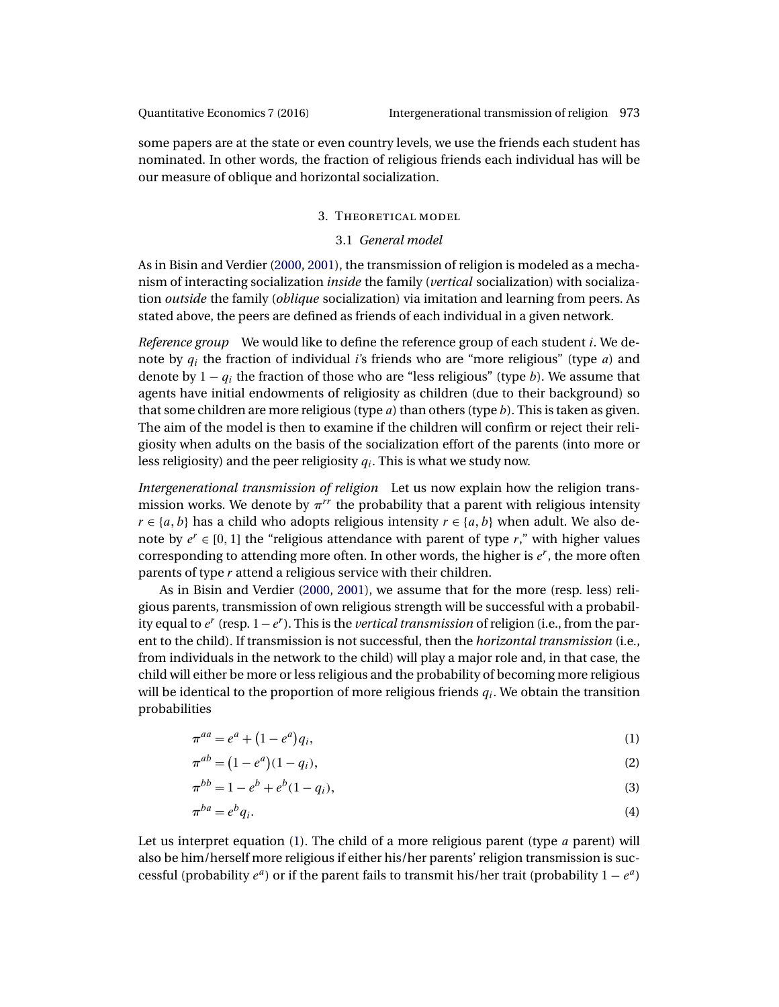<span id="page-4-0"></span>some papers are at the state or even country levels, we use the friends each student has nominated. In other words, the fraction of religious friends each individual has will be our measure of oblique and horizontal socialization.

# 3. Theoretical model

# 3.1 *General model*

As in Bisin and Verdier [\(2000,](#page-23-0) [2001\)](#page-23-0), the transmission of religion is modeled as a mechanism of interacting socialization *inside* the family (*vertical* socialization) with socialization *outside* the family (*oblique* socialization) via imitation and learning from peers. As stated above, the peers are defined as friends of each individual in a given network.

*Reference group* We would like to define the reference group of each student i. We denote by  $q_i$  the fraction of individual i's friends who are "more religious" (type a) and denote by  $1 - q_i$  the fraction of those who are "less religious" (type b). We assume that agents have initial endowments of religiosity as children (due to their background) so that some children are more religious (type  $a$ ) than others (type  $b$ ). This is taken as given. The aim of the model is then to examine if the children will confirm or reject their religiosity when adults on the basis of the socialization effort of the parents (into more or less religiosity) and the peer religiosity  $q_i$ . This is what we study now.

*Intergenerational transmission of religion* Let us now explain how the religion transmission works. We denote by  $\pi^{rr}$  the probability that a parent with religious intensity  $r \in \{a, b\}$  has a child who adopts religious intensity  $r \in \{a, b\}$  when adult. We also denote by  $e^r$  ∈ [0, 1] the "religious attendance with parent of type r," with higher values corresponding to attending more often. In other words, the higher is  $e^r$ , the more often parents of type r attend a religious service with their children.

As in Bisin and Verdier [\(2000,](#page-23-0) [2001\)](#page-23-0), we assume that for the more (resp. less) religious parents, transmission of own religious strength will be successful with a probability equal to  $e^r$  (resp.  $1-e^r$ ). This is the *vertical transmission* of religion (i.e., from the parent to the child). If transmission is not successful, then the *horizontal transmission* (i.e., from individuals in the network to the child) will play a major role and, in that case, the child will either be more or less religious and the probability of becoming more religious will be identical to the proportion of more religious friends  $q_i$ . We obtain the transition probabilities

$$
\pi^{aa} = e^a + (1 - e^a)q_i,
$$
\n(1)

$$
\pi^{ab} = (1 - e^a)(1 - q_i),\tag{2}
$$

$$
\pi^{bb} = 1 - e^b + e^b (1 - q_i),\tag{3}
$$

$$
\pi^{ba} = e^b q_i. \tag{4}
$$

Let us interpret equation  $(1)$ . The child of a more religious parent (type *a* parent) will also be him/herself more religious if either his/her parents' religion transmission is successful (probability  $e^a$ ) or if the parent fails to transmit his/her trait (probability  $1 - e^a$ )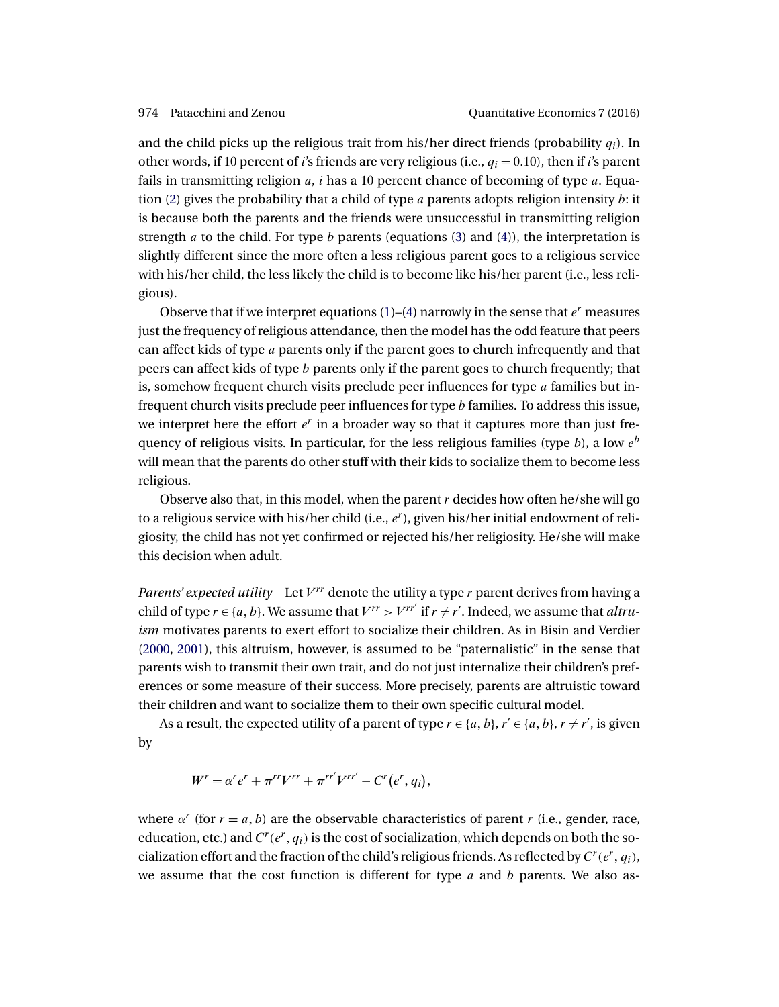<span id="page-5-0"></span>and the child picks up the religious trait from his/her direct friends (probability  $q_i$ ). In other words, if 10 percent of *i*'s friends are very religious (i.e.,  $q_i = 0.10$ ), then if *i*'s parent fails in transmitting religion  $a$ , i has a 10 percent chance of becoming of type  $a$ . Equa-tion [\(2\)](#page-4-0) gives the probability that a child of type  $a$  parents adopts religion intensity  $b$ : it is because both the parents and the friends were unsuccessful in transmitting religion strength  $a$  to the child. For type  $b$  parents (equations [\(3\)](#page-4-0) and [\(4\)](#page-4-0)), the interpretation is slightly different since the more often a less religious parent goes to a religious service with his/her child, the less likely the child is to become like his/her parent (i.e., less religious).

Observe that if we interpret equations  $(1)-(4)$  $(1)-(4)$  $(1)-(4)$  narrowly in the sense that  $e<sup>r</sup>$  measures just the frequency of religious attendance, then the model has the odd feature that peers can affect kids of type  $a$  parents only if the parent goes to church infrequently and that peers can affect kids of type b parents only if the parent goes to church frequently; that is, somehow frequent church visits preclude peer influences for type  $a$  families but infrequent church visits preclude peer influences for type b families. To address this issue, we interpret here the effort  $e<sup>r</sup>$  in a broader way so that it captures more than just frequency of religious visits. In particular, for the less religious families (type b), a low  $e^{b}$ will mean that the parents do other stuff with their kids to socialize them to become less religious.

Observe also that, in this model, when the parent  $r$  decides how often he/she will go to a religious service with his/her child (i.e.,  $e<sup>r</sup>$ ), given his/her initial endowment of religiosity, the child has not yet confirmed or rejected his/her religiosity. He/she will make this decision when adult.

*Parents' expected utility* Let  $V^{rr}$  denote the utility a type  $r$  parent derives from having a child of type  $r \in \{a, b\}$ . We assume that  $V^{rr} > V^{rr'}$  if  $r \neq r'$ . Indeed, we assume that *altruism* motivates parents to exert effort to socialize their children. As in Bisin and Verdier [\(2000,](#page-23-0) [2001\)](#page-23-0), this altruism, however, is assumed to be "paternalistic" in the sense that parents wish to transmit their own trait, and do not just internalize their children's preferences or some measure of their success. More precisely, parents are altruistic toward their children and want to socialize them to their own specific cultural model.

As a result, the expected utility of a parent of type  $r \in \{a, b\}$ ,  $r' \in \{a, b\}$ ,  $r \neq r'$ , is given by

$$
W^r = \alpha^r e^r + \pi^{rr} V^{rr} + \pi^{rr'} V^{rr'} - C^r (e^r, q_i),
$$

where  $\alpha^r$  (for  $r = a, b$ ) are the observable characteristics of parent r (i.e., gender, race, education, etc.) and  $C^r(e^r, q_i)$  is the cost of socialization, which depends on both the socialization effort and the fraction of the child's religious friends. As reflected by  $C^r(e^r, q_i)$ , we assume that the cost function is different for type  $a$  and  $b$  parents. We also as-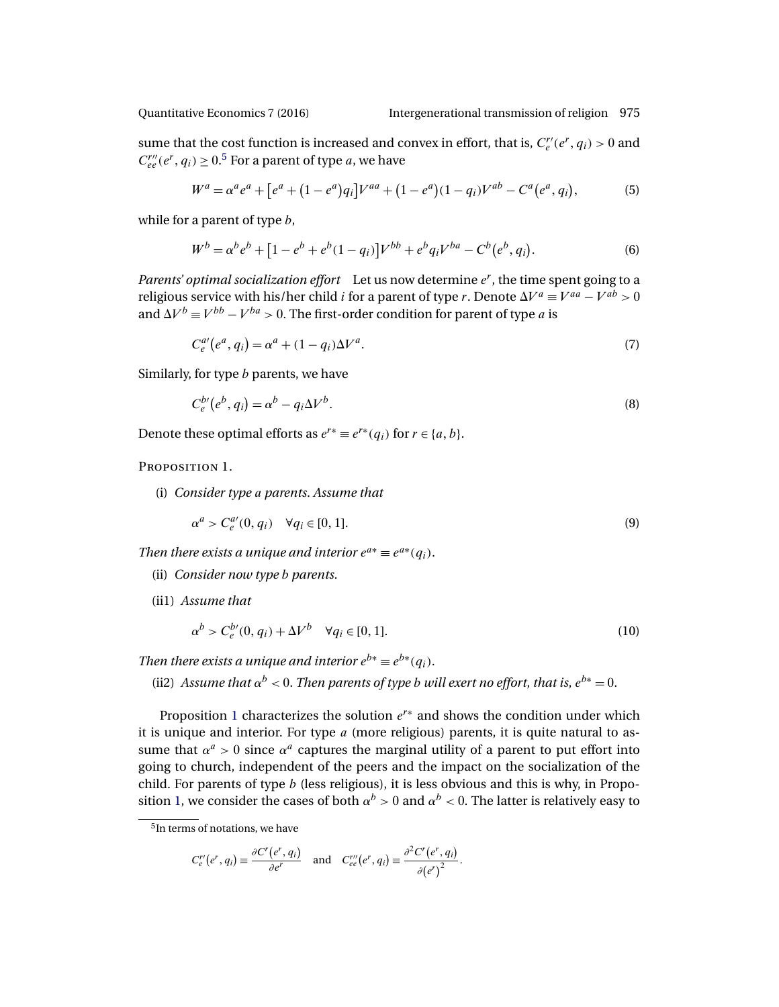<span id="page-6-0"></span>

sume that the cost function is increased and convex in effort, that is,  $C_e^{r}(e^r, q_i) > 0$  and  $C_{ee}^{r\prime\prime}(e^r,q_i) \geq 0.5$  For a parent of type *a*, we have

$$
W^{a} = \alpha^{a} e^{a} + [e^{a} + (1 - e^{a})q_{i}]V^{aa} + (1 - e^{a})(1 - q_{i})V^{ab} - C^{a}(e^{a}, q_{i}),
$$
 (5)

while for a parent of type  $b$ ,

$$
W^{b} = \alpha^{b} e^{b} + [1 - e^{b} + e^{b} (1 - q_{i})] V^{bb} + e^{b} q_{i} V^{ba} - C^{b} (e^{b}, q_{i}).
$$
\n(6)

*Parents' optimal socialization effort* Let us now determine  $e^r$ , the time spent going to a religious service with his/her child *i* for a parent of type *r*. Denote  $\Delta V^a \equiv V^{aa} - V^{ab} > 0$ and  $\Delta V^b \equiv V^{bb} - V^{ba} > 0$ . The first-order condition for parent of type *a* is

$$
C_e^{a\prime}(e^a, q_i) = \alpha^a + (1 - q_i)\Delta V^a. \tag{7}
$$

Similarly, for type  $b$  parents, we have

$$
C_e^{b'}(e^b, q_i) = \alpha^b - q_i \Delta V^b. \tag{8}
$$

Denote these optimal efforts as  $e^{r*} \equiv e^{r*}(q_i)$  for  $r \in \{a, b\}.$ 

PROPOSITION 1.

(i) *Consider type* a *parents*. *Assume that*

$$
\alpha^a > C_e^{a'}(0, q_i) \quad \forall q_i \in [0, 1]. \tag{9}
$$

*Then there exists a unique and interior*  $e^{a*} \equiv e^{a*}(q_i)$ .

- (ii) *Consider now type* b *parents*.
- (ii1) *Assume that*

$$
\alpha^b > C_e^{b'}(0, q_i) + \Delta V^b \quad \forall q_i \in [0, 1].
$$
\n
$$
(10)
$$

*Then there exists a unique and interior*  $e^{b*} \equiv e^{b*}(q_i)$ .

(ii2) *Assume that*  $\alpha^{b} < 0$ . *Then parents of type b will exert no effort, that is,*  $e^{b*} = 0$ .

Proposition 1 characterizes the solution  $e^{r*}$  and shows the condition under which it is unique and interior. For type  $a$  (more religious) parents, it is quite natural to assume that  $\alpha^a > 0$  since  $\alpha^a$  captures the marginal utility of a parent to put effort into going to church, independent of the peers and the impact on the socialization of the child. For parents of type  $b$  (less religious), it is less obvious and this is why, in Proposition 1, we consider the cases of both  $\alpha^{b} > 0$  and  $\alpha^{b} < 0$ . The latter is relatively easy to

$$
C''_e(e^r, q_i) \equiv \frac{\partial C'(e^r, q_i)}{\partial e^r}
$$
 and 
$$
C'''_{ee}(e^r, q_i) \equiv \frac{\partial^2 C'(e^r, q_i)}{\partial (e^r)^2}.
$$

<sup>&</sup>lt;sup>5</sup>In terms of notations, we have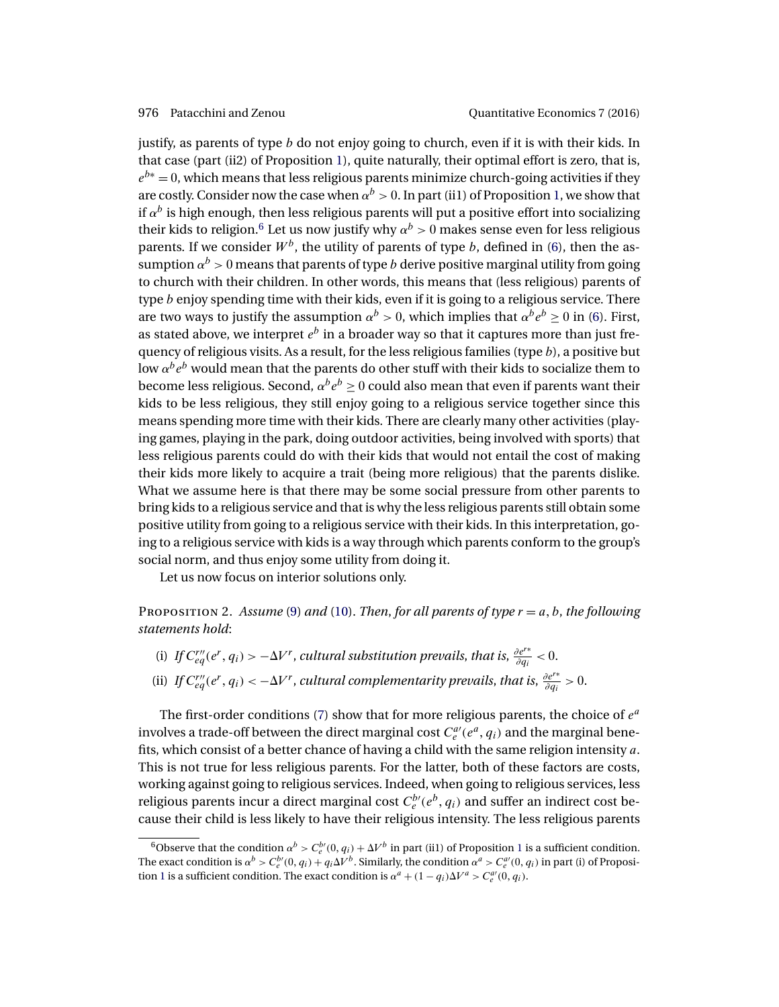<span id="page-7-0"></span>justify, as parents of type  $b$  do not enjoy going to church, even if it is with their kids. In that case (part (ii2) of Proposition [1\)](#page-6-0), quite naturally, their optimal effort is zero, that is,  $e^{b*} = 0$ , which means that less religious parents minimize church-going activities if they are costly. Consider now the case when  $\alpha^{b} > 0$ . In part (ii1) of Proposition [1,](#page-6-0) we show that if  $\alpha^b$  is high enough, then less religious parents will put a positive effort into socializing their kids to religion.<sup>6</sup> Let us now justify why  $\alpha^b > 0$  makes sense even for less religious parents. If we consider  $W^b$ , the utility of parents of type b, defined in [\(6\)](#page-6-0), then the assumption  $\alpha^{b} > 0$  means that parents of type b derive positive marginal utility from going to church with their children. In other words, this means that (less religious) parents of type  $b$  enjoy spending time with their kids, even if it is going to a religious service. There are two ways to justify the assumption  $\alpha^{b} > 0$ , which implies that  $\alpha^{b} e^{b} > 0$  in [\(6\)](#page-6-0). First, as stated above, we interpret  $e^b$  in a broader way so that it captures more than just frequency of religious visits. As a result, for the less religious families (type  $b$ ), a positive but low  $\alpha^b e^b$  would mean that the parents do other stuff with their kids to socialize them to become less religious. Second,  $\alpha^b e^b \ge 0$  could also mean that even if parents want their kids to be less religious, they still enjoy going to a religious service together since this means spending more time with their kids. There are clearly many other activities (playing games, playing in the park, doing outdoor activities, being involved with sports) that less religious parents could do with their kids that would not entail the cost of making their kids more likely to acquire a trait (being more religious) that the parents dislike. What we assume here is that there may be some social pressure from other parents to bring kids to a religious service and that is why the less religious parents still obtain some positive utility from going to a religious service with their kids. In this interpretation, going to a religious service with kids is a way through which parents conform to the group's social norm, and thus enjoy some utility from doing it.

Let us now focus on interior solutions only.

Proposition 2. *Assume* [\(9\)](#page-6-0) *and* [\(10\)](#page-6-0). *Then*, *for all parents of type* r = a b, *the following statements hold*:

(i) If  $C_{eq}^{r\prime\prime}(e^r, q_i) > -\Delta V^r$ , *cultural substitution prevails, that is*,  $\frac{\partial e^{r*}}{\partial q_i} < 0$ . (ii) If  $C_{eq}^{r}$ (e<sup>r</sup>,  $q_i$ ) <  $-\Delta V^r$ , cultural complementarity prevails, that is,  $\frac{\partial e^{r*}}{\partial q_i} > 0$ .

The first-order conditions [\(7\)](#page-6-0) show that for more religious parents, the choice of  $e^a$ involves a trade-off between the direct marginal cost  $C_e^{a\prime}(e^a,q_i)$  and the marginal benefits, which consist of a better chance of having a child with the same religion intensity a. This is not true for less religious parents. For the latter, both of these factors are costs, working against going to religious services. Indeed, when going to religious services, less religious parents incur a direct marginal cost  $C_e^{b\prime}(e^{b},q_i)$  and suffer an indirect cost because their child is less likely to have their religious intensity. The less religious parents

<sup>&</sup>lt;sup>6</sup>Observe that the condition  $\alpha^b > C_e^{b'}(0, q_i) + \Delta V^b$  in part (ii[1](#page-6-0)) of Proposition 1 is a sufficient condition. The exact condition is  $\alpha^b > C_e^{b'}(0, q_i) + q_i \Delta V^b$ . Similarly, the condition  $\alpha^a > C_e^{a'}(0, q_i)$  in part (i) of Proposi-tion [1](#page-6-0) is a sufficient condition. The exact condition is  $\alpha^a + (1 - q_i)\Delta V^a > C_e^{a'}(0, q_i)$ .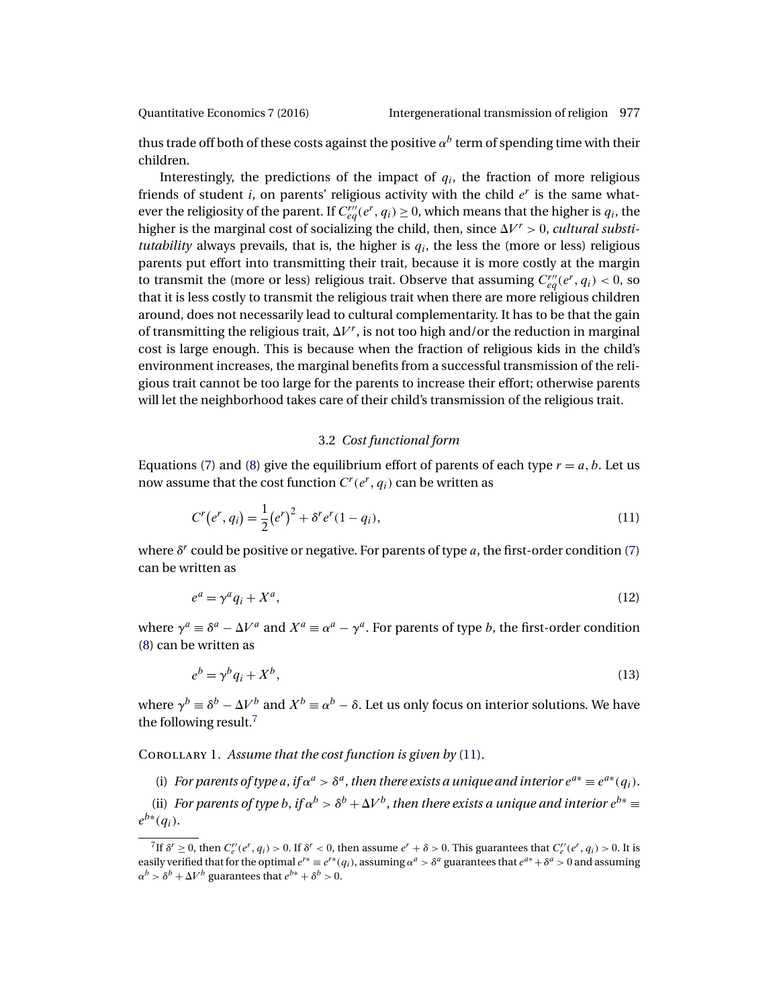<span id="page-8-0"></span>

thus trade off both of these costs against the positive  $\alpha^b$  term of spending time with their children.

Interestingly, the predictions of the impact of  $q_i$ , the fraction of more religious friends of student i, on parents' religious activity with the child  $e<sup>r</sup>$  is the same whatever the religiosity of the parent. If  $C_{eq}^{r''}(e^r, q_i) \ge 0$ , which means that the higher is  $q_i$ , the higher is the marginal cost of socializing the child, then, since  $\Delta V^r > 0$ , *cultural substitutability* always prevails, that is, the higher is  $q_i$ , the less the (more or less) religious parents put effort into transmitting their trait, because it is more costly at the margin to transmit the (more or less) religious trait. Observe that assuming  $C_{eq}^{r\prime\prime}(e^{r}, q_i) < 0$ , so that it is less costly to transmit the religious trait when there are more religious children around, does not necessarily lead to cultural complementarity. It has to be that the gain of transmitting the religious trait,  $\Delta V^r$ , is not too high and/or the reduction in marginal cost is large enough. This is because when the fraction of religious kids in the child's environment increases, the marginal benefits from a successful transmission of the religious trait cannot be too large for the parents to increase their effort; otherwise parents will let the neighborhood takes care of their child's transmission of the religious trait.

# 3.2 *Cost functional form*

Equations [\(7\)](#page-6-0) and [\(8\)](#page-6-0) give the equilibrium effort of parents of each type  $r = a, b$ . Let us now assume that the cost function  $C^r(e^r, q_i)$  can be written as

$$
C^{r}(e^{r}, q_{i}) = \frac{1}{2}(e^{r})^{2} + \delta^{r} e^{r} (1 - q_{i}),
$$
\n(11)

where  $\delta^r$  could be positive or negative. For parents of type a, the first-order condition [\(7\)](#page-6-0) can be written as

$$
e^a = \gamma^a q_i + X^a,\tag{12}
$$

where  $\gamma^a \equiv \delta^a - \Delta V^a$  and  $X^a \equiv \alpha^a - \gamma^a$ . For parents of type *b*, the first-order condition [\(8\)](#page-6-0) can be written as

$$
e^b = \gamma^b q_i + X^b,\tag{13}
$$

where  $\gamma^b \equiv \delta^b - \Delta V^b$  and  $X^b \equiv \alpha^b - \delta$ . Let us only focus on interior solutions. We have the following result.7

Corollary 1. *Assume that the cost function is given by* (11).

(i) *For parents of type a, if*  $\alpha^a > \delta^a$ *, then there exists a unique and interior*  $e^{a*} \equiv e^{a*}(q_i)$ *.* 

(ii) *For parents of type b, if*  $\alpha^{b} > \delta^{b} + \Delta V^{b}$ *, then there exists a unique and interior*  $e^{b*}$   $\equiv$  $e^{b*}(q_i)$ .

<sup>&</sup>lt;sup>7</sup>If  $\delta^r \ge 0$ , then  $C_e^{r}(e^r, q_i) > 0$ . If  $\delta^r < 0$ , then assume  $e^r + \delta > 0$ . This guarantees that  $C_e^{r}(e^r, q_i) > 0$ . It is easily verified that for the optimal  $e^{r*} \equiv e^{r*}(q_i)$ , assuming  $\alpha^a > \delta^a$  guarantees that  $e^{a*} + \delta^a > 0$  and assuming  $\alpha^{b} > \delta^{b} + \Delta V^{b}$  guarantees that  $e^{b*} + \delta^{b} > 0$ .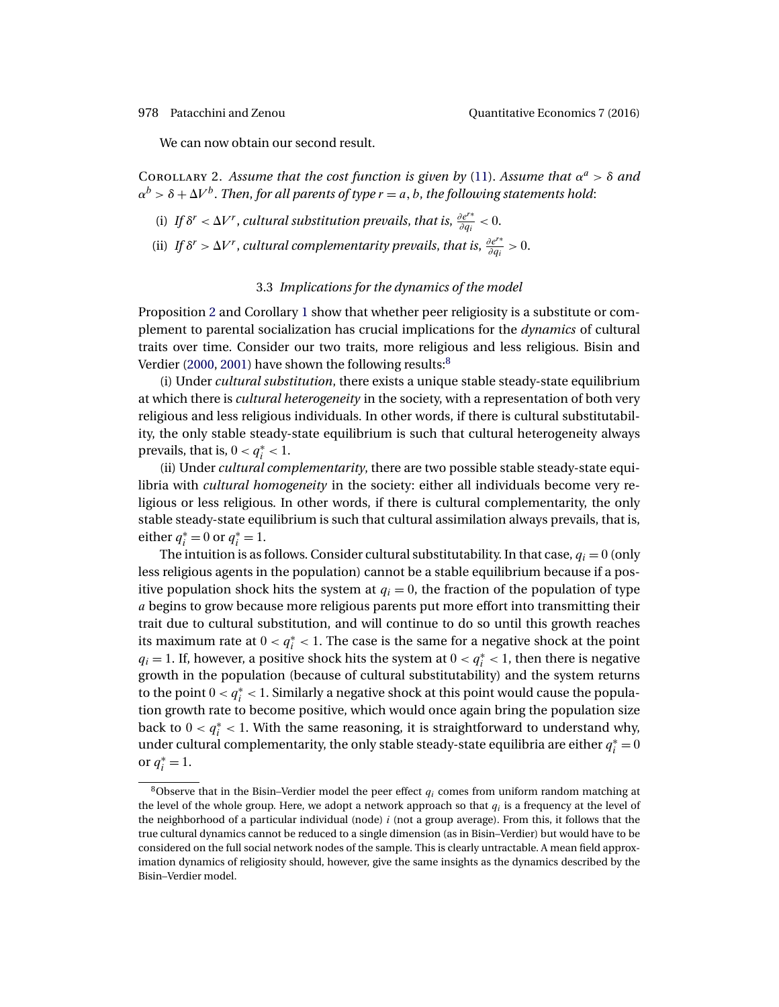<span id="page-9-0"></span>We can now obtain our second result.

COROLLARY 2. *Assume that the cost function is given by* [\(11\)](#page-8-0). *Assume that*  $\alpha^a > \delta$  *and*  $\alpha^{b} > \delta + \Delta V^{b}$ . *Then, for all parents of type*  $r = a$ , *b, the following statements hold*:

- (i) *If*  $\delta^r < \Delta V^r$ , *cultural substitution prevails, that is,*  $\frac{\partial e^{r*}}{\partial q_i} < 0$ .
- (ii) If  $\delta^r > \Delta V^r$ , *cultural complementarity prevails, that is,*  $\frac{\partial e^{r*}}{\partial q_i} > 0$ .

# 3.3 *Implications for the dynamics of the model*

Proposition [2](#page-7-0) and Corollary [1](#page-8-0) show that whether peer religiosity is a substitute or complement to parental socialization has crucial implications for the *dynamics* of cultural traits over time. Consider our two traits, more religious and less religious. Bisin and Verdier [\(2000,](#page-23-0) [2001\)](#page-23-0) have shown the following results: $8$ 

(i) Under *cultural substitution*, there exists a unique stable steady-state equilibrium at which there is *cultural heterogeneity* in the society, with a representation of both very religious and less religious individuals. In other words, if there is cultural substitutability, the only stable steady-state equilibrium is such that cultural heterogeneity always prevails, that is,  $0 < q_i^* < 1$ .

(ii) Under *cultural complementarity*, there are two possible stable steady-state equilibria with *cultural homogeneity* in the society: either all individuals become very religious or less religious. In other words, if there is cultural complementarity, the only stable steady-state equilibrium is such that cultural assimilation always prevails, that is, either  $q_i^* = 0$  or  $q_i^* = 1$ .

The intuition is as follows. Consider cultural substitutability. In that case,  $q_i = 0$  (only less religious agents in the population) cannot be a stable equilibrium because if a positive population shock hits the system at  $q_i = 0$ , the fraction of the population of type a begins to grow because more religious parents put more effort into transmitting their trait due to cultural substitution, and will continue to do so until this growth reaches its maximum rate at  $0 < q_i^* < 1$ . The case is the same for a negative shock at the point  $q_i = 1$ . If, however, a positive shock hits the system at  $0 < q_i^* < 1$ , then there is negative growth in the population (because of cultural substitutability) and the system returns to the point  $0 < q_i^* < 1$ . Similarly a negative shock at this point would cause the population growth rate to become positive, which would once again bring the population size back to  $0 < q_i^* < 1$ . With the same reasoning, it is straightforward to understand why, under cultural complementarity, the only stable steady-state equilibria are either  $q_i^* = 0$ or  $q_i^* = 1$ .

<sup>&</sup>lt;sup>8</sup>Observe that in the Bisin–Verdier model the peer effect  $q_i$  comes from uniform random matching at the level of the whole group. Here, we adopt a network approach so that  $q_i$  is a frequency at the level of the neighborhood of a particular individual (node)  $i$  (not a group average). From this, it follows that the true cultural dynamics cannot be reduced to a single dimension (as in Bisin–Verdier) but would have to be considered on the full social network nodes of the sample. This is clearly untractable. A mean field approximation dynamics of religiosity should, however, give the same insights as the dynamics described by the Bisin–Verdier model.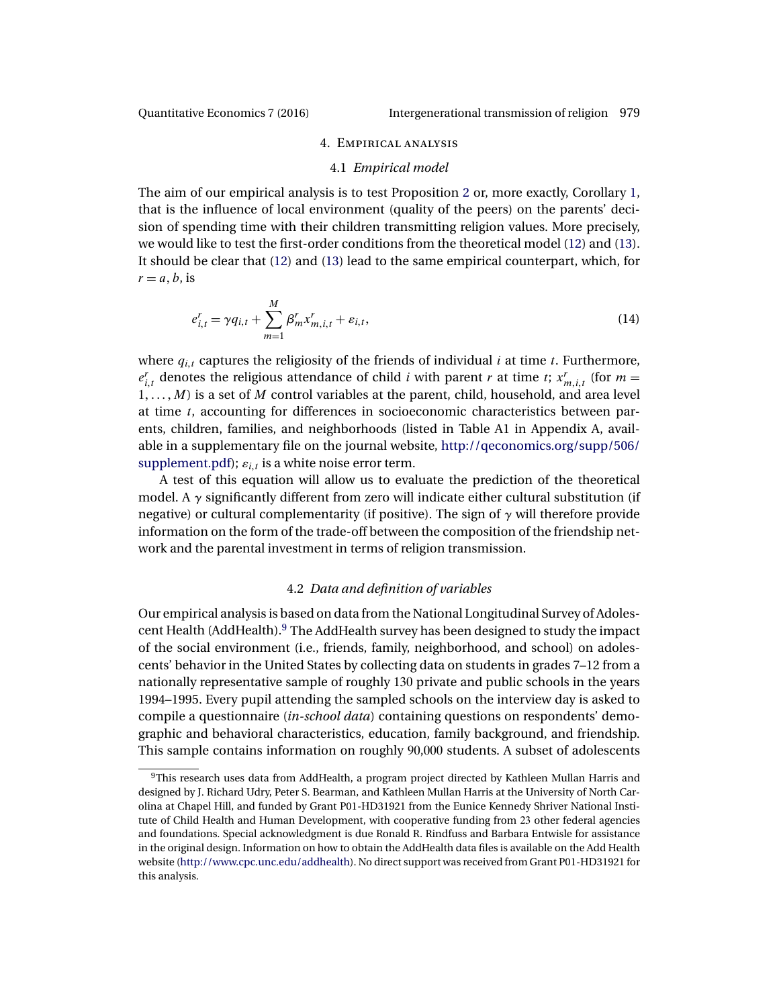### 4. Empirical analysis

# 4.1 *Empirical model*

<span id="page-10-0"></span>The aim of our empirical analysis is to test Proposition [2](#page-7-0) or, more exactly, Corollary [1,](#page-8-0) that is the influence of local environment (quality of the peers) on the parents' decision of spending time with their children transmitting religion values. More precisely, we would like to test the first-order conditions from the theoretical model [\(12\)](#page-8-0) and [\(13\)](#page-8-0). It should be clear that [\(12\)](#page-8-0) and [\(13\)](#page-8-0) lead to the same empirical counterpart, which, for  $r = a, b$ , is

$$
e_{i,t}^r = \gamma q_{i,t} + \sum_{m=1}^M \beta_m^r x_{m,i,t}^r + \varepsilon_{i,t},
$$
\n(14)

where  $q_{i,t}$  captures the religiosity of the friends of individual i at time t. Furthermore,  $e_{i,t}^r$  denotes the religious attendance of child *i* with parent *r* at time *t*;  $x_{m,i,t}^r$  (for  $m =$  $1, \ldots, M$ ) is a set of M control variables at the parent, child, household, and area level at time  $t$ , accounting for differences in socioeconomic characteristics between parents, children, families, and neighborhoods (listed in Table A1 in Appendix A, available in a supplementary file on the journal website, [http://qeconomics.org/supp/506/](http://qeconomics.org/supp/506/supplement.pdf) [supplement.pdf](http://qeconomics.org/supp/506/supplement.pdf));  $\varepsilon_{i,t}$  is a white noise error term.

A test of this equation will allow us to evaluate the prediction of the theoretical model. A  $\gamma$  significantly different from zero will indicate either cultural substitution (if negative) or cultural complementarity (if positive). The sign of  $\gamma$  will therefore provide information on the form of the trade-off between the composition of the friendship network and the parental investment in terms of religion transmission.

# 4.2 *Data and definition of variables*

Our empirical analysis is based on data from the National Longitudinal Survey of Adolescent Health (AddHealth).<sup>9</sup> The AddHealth survey has been designed to study the impact of the social environment (i.e., friends, family, neighborhood, and school) on adolescents' behavior in the United States by collecting data on students in grades 7–12 from a nationally representative sample of roughly 130 private and public schools in the years 1994–1995. Every pupil attending the sampled schools on the interview day is asked to compile a questionnaire (*in-school data*) containing questions on respondents' demographic and behavioral characteristics, education, family background, and friendship. This sample contains information on roughly 90,000 students. A subset of adolescents

<sup>&</sup>lt;sup>9</sup>This research uses data from AddHealth, a program project directed by Kathleen Mullan Harris and designed by J. Richard Udry, Peter S. Bearman, and Kathleen Mullan Harris at the University of North Carolina at Chapel Hill, and funded by Grant P01-HD31921 from the Eunice Kennedy Shriver National Institute of Child Health and Human Development, with cooperative funding from 23 other federal agencies and foundations. Special acknowledgment is due Ronald R. Rindfuss and Barbara Entwisle for assistance in the original design. Information on how to obtain the AddHealth data files is available on the Add Health website [\(http://www.cpc.unc.edu/addhealth](http://www.cpc.unc.edu/addhealth)). No direct support was received from Grant P01-HD31921 for this analysis.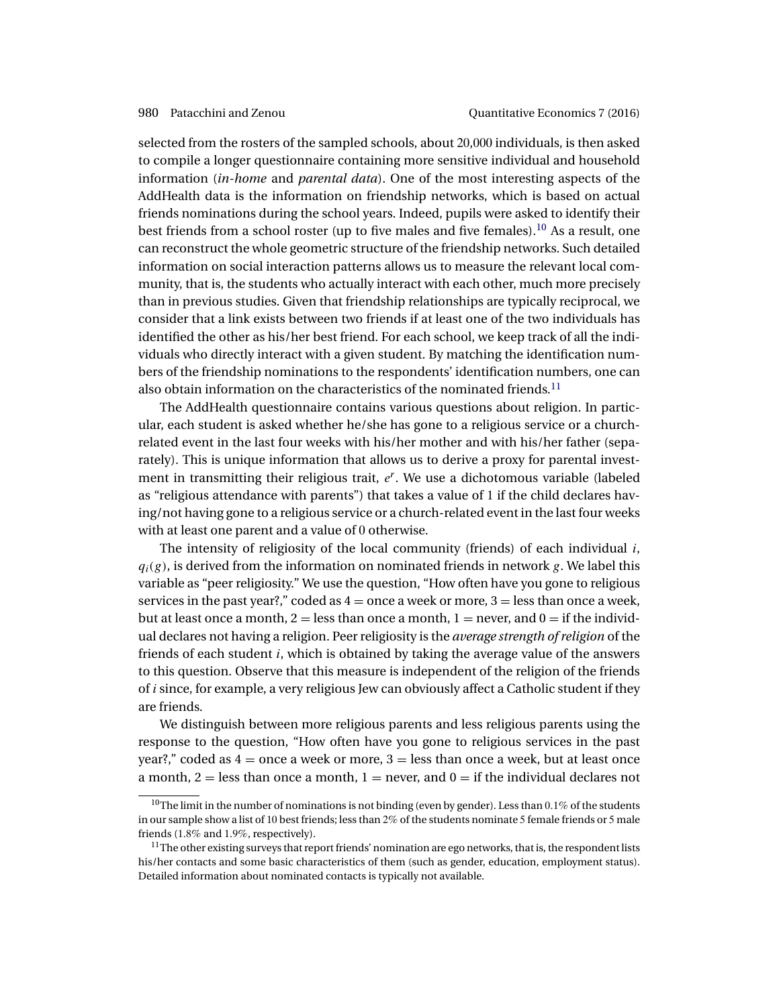selected from the rosters of the sampled schools, about 20,000 individuals, is then asked to compile a longer questionnaire containing more sensitive individual and household information (*in-home* and *parental data*). One of the most interesting aspects of the AddHealth data is the information on friendship networks, which is based on actual friends nominations during the school years. Indeed, pupils were asked to identify their best friends from a school roster (up to five males and five females).<sup>10</sup> As a result, one can reconstruct the whole geometric structure of the friendship networks. Such detailed information on social interaction patterns allows us to measure the relevant local community, that is, the students who actually interact with each other, much more precisely than in previous studies. Given that friendship relationships are typically reciprocal, we consider that a link exists between two friends if at least one of the two individuals has identified the other as his/her best friend. For each school, we keep track of all the individuals who directly interact with a given student. By matching the identification numbers of the friendship nominations to the respondents' identification numbers, one can also obtain information on the characteristics of the nominated friends.<sup>11</sup>

The AddHealth questionnaire contains various questions about religion. In particular, each student is asked whether he/she has gone to a religious service or a churchrelated event in the last four weeks with his/her mother and with his/her father (separately). This is unique information that allows us to derive a proxy for parental investment in transmitting their religious trait,  $e<sup>r</sup>$ . We use a dichotomous variable (labeled as "religious attendance with parents") that takes a value of 1 if the child declares having/not having gone to a religious service or a church-related event in the last four weeks with at least one parent and a value of 0 otherwise.

The intensity of religiosity of the local community (friends) of each individual  $i$ ,  $q_i(g)$ , is derived from the information on nominated friends in network g. We label this variable as "peer religiosity." We use the question, "How often have you gone to religious services in the past year?," coded as  $4 =$  once a week or more,  $3 =$  less than once a week, but at least once a month,  $2 =$  less than once a month,  $1 =$  never, and  $0 =$  if the individual declares not having a religion. Peer religiosity is the *average strength of religion* of the friends of each student  $i$ , which is obtained by taking the average value of the answers to this question. Observe that this measure is independent of the religion of the friends of  $i$  since, for example, a very religious Jew can obviously affect a Catholic student if they are friends.

We distinguish between more religious parents and less religious parents using the response to the question, "How often have you gone to religious services in the past year?," coded as  $4 =$  once a week or more,  $3 =$  less than once a week, but at least once a month,  $2 =$  less than once a month,  $1 =$  never, and  $0 =$  if the individual declares not

 $10$ The limit in the number of nominations is not binding (even by gender). Less than 0.1% of the students in our sample show a list of 10 best friends; less than 2% of the students nominate 5 female friends or 5 male friends (1.8% and 1.9%, respectively).

 $11$ The other existing surveys that report friends' nomination are ego networks, that is, the respondent lists his/her contacts and some basic characteristics of them (such as gender, education, employment status). Detailed information about nominated contacts is typically not available.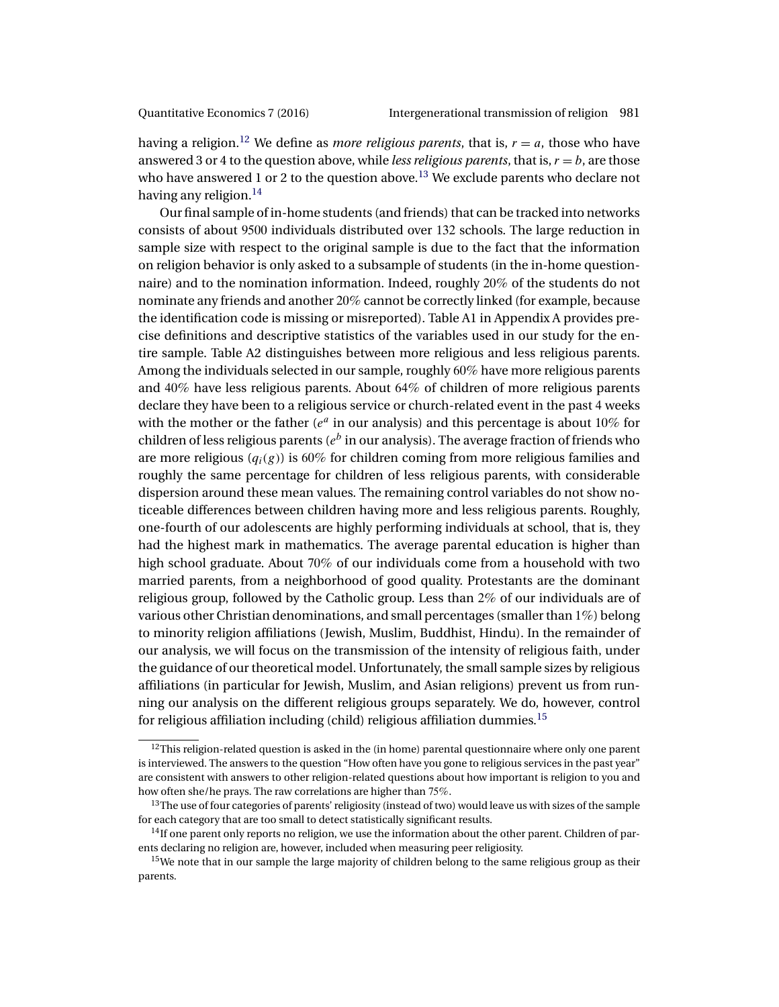having a religion.<sup>12</sup> We define as *more religious parents*, that is,  $r = a$ , those who have answered 3 or 4 to the question above, while *less religious parents*, that is,  $r = b$ , are those who have answered 1 or 2 to the question above.<sup>13</sup> We exclude parents who declare not having any religion.<sup>14</sup>

Our final sample of in-home students (and friends) that can be tracked into networks consists of about 9500 individuals distributed over 132 schools. The large reduction in sample size with respect to the original sample is due to the fact that the information on religion behavior is only asked to a subsample of students (in the in-home questionnaire) and to the nomination information. Indeed, roughly 20% of the students do not nominate any friends and another 20% cannot be correctly linked (for example, because the identification code is missing or misreported). Table A1 in Appendix A provides precise definitions and descriptive statistics of the variables used in our study for the entire sample. Table A2 distinguishes between more religious and less religious parents. Among the individuals selected in our sample, roughly 60% have more religious parents and 40% have less religious parents. About 64% of children of more religious parents declare they have been to a religious service or church-related event in the past 4 weeks with the mother or the father ( $e^a$  in our analysis) and this percentage is about 10% for children of less religious parents ( $e^b$  in our analysis). The average fraction of friends who are more religious ( $q_i(g)$ ) is 60% for children coming from more religious families and roughly the same percentage for children of less religious parents, with considerable dispersion around these mean values. The remaining control variables do not show noticeable differences between children having more and less religious parents. Roughly, one-fourth of our adolescents are highly performing individuals at school, that is, they had the highest mark in mathematics. The average parental education is higher than high school graduate. About 70% of our individuals come from a household with two married parents, from a neighborhood of good quality. Protestants are the dominant religious group, followed by the Catholic group. Less than 2% of our individuals are of various other Christian denominations, and small percentages (smaller than 1%) belong to minority religion affiliations (Jewish, Muslim, Buddhist, Hindu). In the remainder of our analysis, we will focus on the transmission of the intensity of religious faith, under the guidance of our theoretical model. Unfortunately, the small sample sizes by religious affiliations (in particular for Jewish, Muslim, and Asian religions) prevent us from running our analysis on the different religious groups separately. We do, however, control for religious affiliation including (child) religious affiliation dummies.<sup>15</sup>

 $12$ This religion-related question is asked in the (in home) parental questionnaire where only one parent is interviewed. The answers to the question "How often have you gone to religious services in the past year" are consistent with answers to other religion-related questions about how important is religion to you and how often she/he prays. The raw correlations are higher than 75%.

<sup>&</sup>lt;sup>13</sup>The use of four categories of parents' religiosity (instead of two) would leave us with sizes of the sample for each category that are too small to detect statistically significant results.

<sup>&</sup>lt;sup>14</sup>If one parent only reports no religion, we use the information about the other parent. Children of parents declaring no religion are, however, included when measuring peer religiosity.

<sup>&</sup>lt;sup>15</sup>We note that in our sample the large majority of children belong to the same religious group as their parents.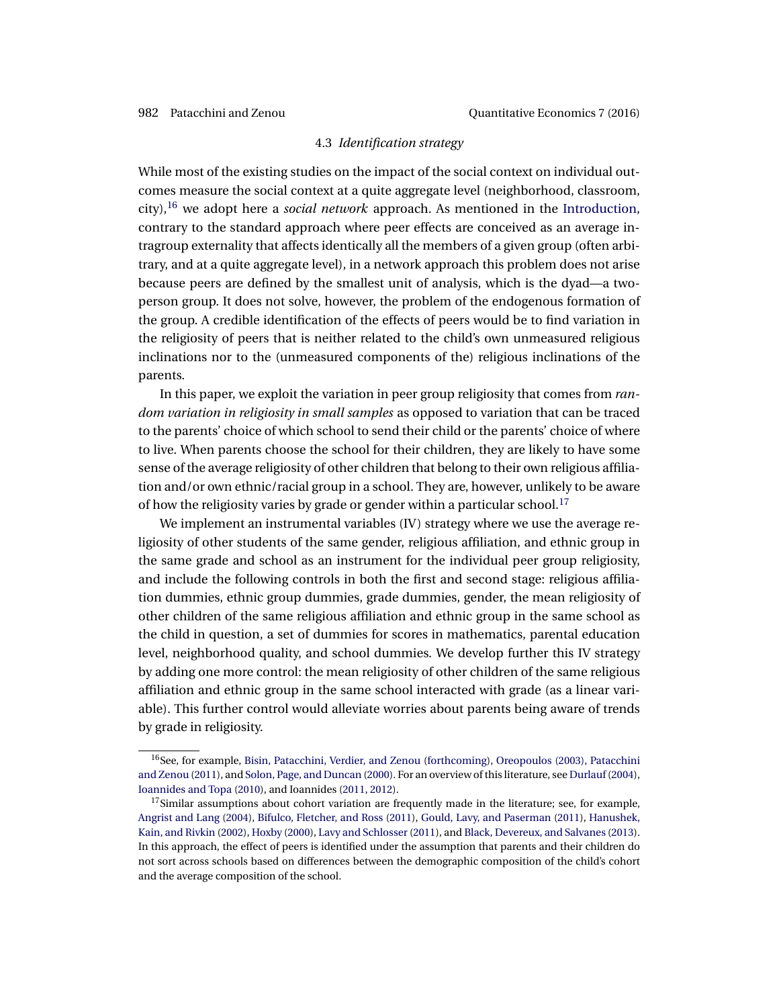# 4.3 *Identification strategy*

<span id="page-13-0"></span>While most of the existing studies on the impact of the social context on individual outcomes measure the social context at a quite aggregate level (neighborhood, classroom, city),<sup>16</sup> we adopt here a *social network* approach. As mentioned in the [Introduction,](#page-0-0) contrary to the standard approach where peer effects are conceived as an average intragroup externality that affects identically all the members of a given group (often arbitrary, and at a quite aggregate level), in a network approach this problem does not arise because peers are defined by the smallest unit of analysis, which is the dyad—a twoperson group. It does not solve, however, the problem of the endogenous formation of the group. A credible identification of the effects of peers would be to find variation in the religiosity of peers that is neither related to the child's own unmeasured religious inclinations nor to the (unmeasured components of the) religious inclinations of the parents.

In this paper, we exploit the variation in peer group religiosity that comes from *random variation in religiosity in small samples* as opposed to variation that can be traced to the parents' choice of which school to send their child or the parents' choice of where to live. When parents choose the school for their children, they are likely to have some sense of the average religiosity of other children that belong to their own religious affiliation and/or own ethnic/racial group in a school. They are, however, unlikely to be aware of how the religiosity varies by grade or gender within a particular school.<sup>17</sup>

We implement an instrumental variables (IV) strategy where we use the average religiosity of other students of the same gender, religious affiliation, and ethnic group in the same grade and school as an instrument for the individual peer group religiosity, and include the following controls in both the first and second stage: religious affiliation dummies, ethnic group dummies, grade dummies, gender, the mean religiosity of other children of the same religious affiliation and ethnic group in the same school as the child in question, a set of dummies for scores in mathematics, parental education level, neighborhood quality, and school dummies. We develop further this IV strategy by adding one more control: the mean religiosity of other children of the same religious affiliation and ethnic group in the same school interacted with grade (as a linear variable). This further control would alleviate worries about parents being aware of trends by grade in religiosity.

<sup>16</sup>See, for example, [Bisin, Patacchini, Verdier, and Zenou](#page-22-0) [\(forthcoming\)](#page-22-0), [Oreopoulos \(2003\),](#page-25-0) [Patacchini](#page-25-0) [and Zenou](#page-25-0) [\(2011\)](#page-25-0), and [Solon, Page, and Duncan](#page-25-0) [\(2000\)](#page-25-0). For an overview of this literature, see [Durlauf\(2004\)](#page-24-0), [Ioannides and Topa](#page-24-0) [\(2010\)](#page-24-0), and Ioannides [\(2011,](#page-24-0) [2012\)](#page-24-0).

 $17$ Similar assumptions about cohort variation are frequently made in the literature; see, for example, [Angrist and Lang](#page-22-0) [\(2004\)](#page-22-0), [Bifulco, Fletcher, and Ross](#page-22-0) [\(2011\)](#page-22-0), [Gould, Lavy, and Paserman](#page-24-0) [\(2011\)](#page-24-0), [Hanushek,](#page-24-0) [Kain, and Rivkin](#page-24-0) [\(2002\)](#page-24-0), [Hoxby](#page-24-0) [\(2000\)](#page-24-0), Lavy and Schlosser (2011), and [Black, Devereux, and Salvanes](#page-23-0) [\(2013\)](#page-23-0). In this approach, the effect of peers is identified under the assumption that parents and their children do not sort across schools based on differences between the demographic composition of the child's cohort and the average composition of the school.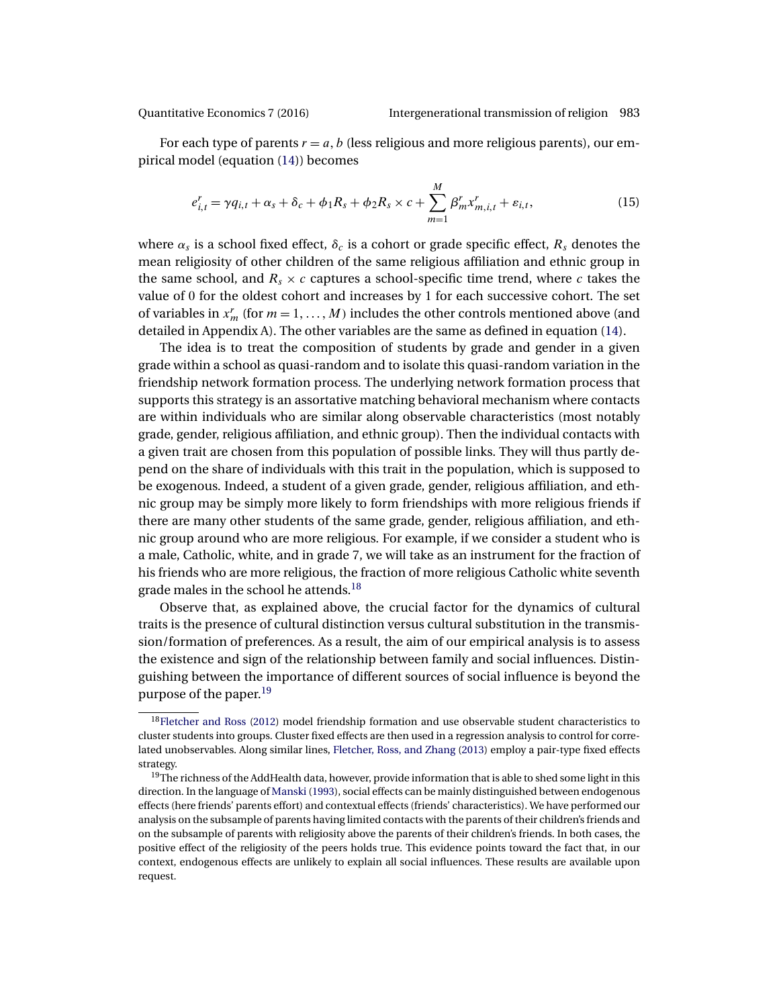<span id="page-14-0"></span>

For each type of parents  $r = a, b$  (less religious and more religious parents), our empirical model (equation [\(14\)](#page-10-0)) becomes

$$
e_{i,t}^r = \gamma q_{i,t} + \alpha_s + \delta_c + \phi_1 R_s + \phi_2 R_s \times c + \sum_{m=1}^M \beta_m^r x_{m,i,t}^r + \varepsilon_{i,t},
$$
\n(15)

where  $\alpha_s$  is a school fixed effect,  $\delta_c$  is a cohort or grade specific effect,  $R_s$  denotes the mean religiosity of other children of the same religious affiliation and ethnic group in the same school, and  $R_s \times c$  captures a school-specific time trend, where c takes the value of 0 for the oldest cohort and increases by 1 for each successive cohort. The set of variables in  $x_m^r$  (for  $m = 1, \ldots, M$ ) includes the other controls mentioned above (and detailed in Appendix A). The other variables are the same as defined in equation [\(14\)](#page-10-0).

The idea is to treat the composition of students by grade and gender in a given grade within a school as quasi-random and to isolate this quasi-random variation in the friendship network formation process. The underlying network formation process that supports this strategy is an assortative matching behavioral mechanism where contacts are within individuals who are similar along observable characteristics (most notably grade, gender, religious affiliation, and ethnic group). Then the individual contacts with a given trait are chosen from this population of possible links. They will thus partly depend on the share of individuals with this trait in the population, which is supposed to be exogenous. Indeed, a student of a given grade, gender, religious affiliation, and ethnic group may be simply more likely to form friendships with more religious friends if there are many other students of the same grade, gender, religious affiliation, and ethnic group around who are more religious. For example, if we consider a student who is a male, Catholic, white, and in grade 7, we will take as an instrument for the fraction of his friends who are more religious, the fraction of more religious Catholic white seventh grade males in the school he attends. $18$ 

Observe that, as explained above, the crucial factor for the dynamics of cultural traits is the presence of cultural distinction versus cultural substitution in the transmission/formation of preferences. As a result, the aim of our empirical analysis is to assess the existence and sign of the relationship between family and social influences. Distinguishing between the importance of different sources of social influence is beyond the purpose of the paper.<sup>19</sup>

<sup>&</sup>lt;sup>18</sup>Fletcher and Ross [\(2012\)](#page-24-0) model friendship formation and use observable student characteristics to cluster students into groups. Cluster fixed effects are then used in a regression analysis to control for correlated unobservables. Along similar lines, [Fletcher, Ross, and Zhang](#page-24-0) [\(2013\)](#page-24-0) employ a pair-type fixed effects strategy.

<sup>&</sup>lt;sup>19</sup>The richness of the AddHealth data, however, provide information that is able to shed some light in this direction. In the language of [Manski](#page-25-0) [\(1993\)](#page-25-0), social effects can be mainly distinguished between endogenous effects (here friends' parents effort) and contextual effects (friends' characteristics). We have performed our analysis on the subsample of parents having limited contacts with the parents of their children's friends and on the subsample of parents with religiosity above the parents of their children's friends. In both cases, the positive effect of the religiosity of the peers holds true. This evidence points toward the fact that, in our context, endogenous effects are unlikely to explain all social influences. These results are available upon request.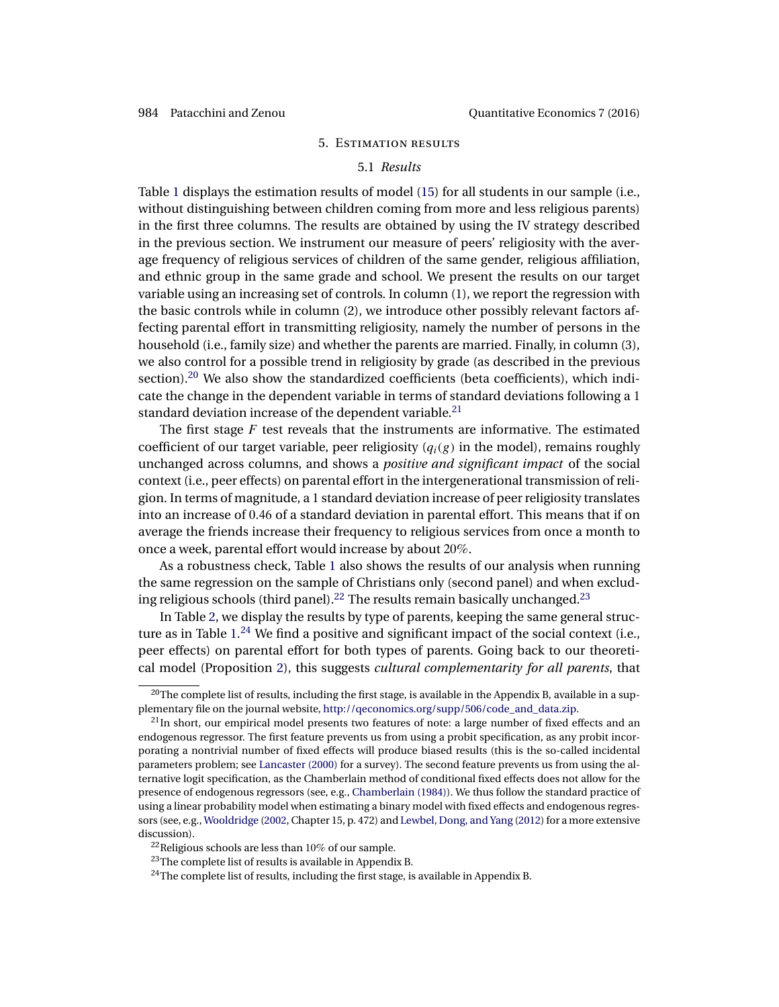### 5. Estimation results

### 5.1 *Results*

<span id="page-15-0"></span>Table [1](#page-16-0) displays the estimation results of model [\(15\)](#page-14-0) for all students in our sample (i.e., without distinguishing between children coming from more and less religious parents) in the first three columns. The results are obtained by using the IV strategy described in the previous section. We instrument our measure of peers' religiosity with the average frequency of religious services of children of the same gender, religious affiliation, and ethnic group in the same grade and school. We present the results on our target variable using an increasing set of controls. In column (1), we report the regression with the basic controls while in column (2), we introduce other possibly relevant factors affecting parental effort in transmitting religiosity, namely the number of persons in the household (i.e., family size) and whether the parents are married. Finally, in column (3), we also control for a possible trend in religiosity by grade (as described in the previous section).<sup>20</sup> We also show the standardized coefficients (beta coefficients), which indicate the change in the dependent variable in terms of standard deviations following a 1 standard deviation increase of the dependent variable.<sup>21</sup>

The first stage  $F$  test reveals that the instruments are informative. The estimated coefficient of our target variable, peer religiosity  $(q<sub>i</sub>(g))$  in the model), remains roughly unchanged across columns, and shows a *positive and significant impact* of the social context (i.e., peer effects) on parental effort in the intergenerational transmission of religion. In terms of magnitude, a 1 standard deviation increase of peer religiosity translates into an increase of 046 of a standard deviation in parental effort. This means that if on average the friends increase their frequency to religious services from once a month to once a week, parental effort would increase by about 20%.

As a robustness check, Table [1](#page-16-0) also shows the results of our analysis when running the same regression on the sample of Christians only (second panel) and when excluding religious schools (third panel).<sup>22</sup> The results remain basically unchanged.<sup>23</sup>

In Table [2,](#page-17-0) we display the results by type of parents, keeping the same general struc-ture as in Table [1.](#page-16-0)<sup>24</sup> We find a positive and significant impact of the social context (i.e., peer effects) on parental effort for both types of parents. Going back to our theoretical model (Proposition [2\)](#page-7-0), this suggests *cultural complementarity for all parents*, that

 $^{20}$ The complete list of results, including the first stage, is available in the Appendix B, available in a supplementary file on the journal website, [http://qeconomics.org/supp/506/code\\_and\\_data.zip](http://qeconomics.org/supp/506/code_and_data.zip).

 $^{21}$ In short, our empirical model presents two features of note: a large number of fixed effects and an endogenous regressor. The first feature prevents us from using a probit specification, as any probit incorporating a nontrivial number of fixed effects will produce biased results (this is the so-called incidental parameters problem; see [Lancaster \(2000\)](#page-25-0) for a survey). The second feature prevents us from using the alternative logit specification, as the Chamberlain method of conditional fixed effects does not allow for the presence of endogenous regressors (see, e.g., [Chamberlain \(1984\)\)](#page-23-0). We thus follow the standard practice of using a linear probability model when estimating a binary model with fixed effects and endogenous regressors (see, e.g., [Wooldridge](#page-26-0) [\(2002,](#page-26-0) Chapter 15, p. 472) and [Lewbel, Dong, and Yang](#page-25-0) [\(2012\)](#page-25-0) for a more extensive discussion).

 $^{22}$  Religious schools are less than  $10\%$  of our sample.

<sup>23</sup>The complete list of results is available in Appendix B.

<sup>&</sup>lt;sup>24</sup>The complete list of results, including the first stage, is available in Appendix B.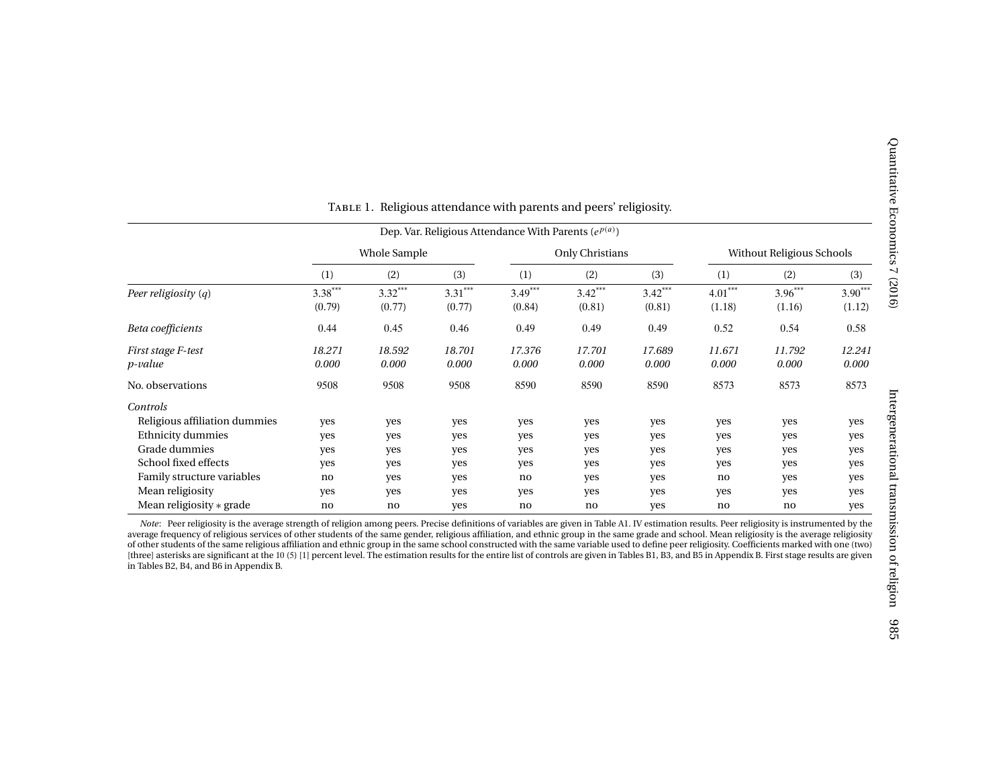<span id="page-16-0"></span>

|                                       |                     |                     |                     | Dep. Var. Religious Attendance With Parents ( $e^{p(a)}$ ) |                     |                     |                                  |                     |                     |
|---------------------------------------|---------------------|---------------------|---------------------|------------------------------------------------------------|---------------------|---------------------|----------------------------------|---------------------|---------------------|
|                                       |                     | Whole Sample        |                     | Only Christians                                            |                     |                     | <b>Without Religious Schools</b> |                     |                     |
|                                       | (1)                 | (2)                 | (3)                 | (1)                                                        | (2)                 | (3)                 | (1)                              | (2)                 | (3)                 |
| Peer religiosity (q)                  | $3.38***$<br>(0.79) | $3.32***$<br>(0.77) | $3.31***$<br>(0.77) | $3.49$ ***<br>(0.84)                                       | $3.42***$<br>(0.81) | $3.42***$<br>(0.81) | $4.01***$<br>(1.18)              | $3.96***$<br>(1.16) | $3.90***$<br>(1.12) |
| Beta coefficients                     | 0.44                | 0.45                | 0.46                | 0.49                                                       | 0.49                | 0.49                | 0.52                             | 0.54                | 0.58                |
| First stage F-test<br><i>p</i> -value | 18.271<br>0.000     | 18.592<br>0.000     | 18.701<br>0.000     | 17.376<br>0.000                                            | 17.701<br>0.000     | 17.689<br>0.000     | 11.671<br>0.000                  | 11.792<br>0.000     | 12.241<br>0.000     |
| No. observations                      | 9508                | 9508                | 9508                | 8590                                                       | 8590                | 8590                | 8573                             | 8573                | 8573                |
| Controls                              |                     |                     |                     |                                                            |                     |                     |                                  |                     |                     |
| Religious affiliation dummies         | yes                 | yes                 | yes                 | yes                                                        | yes                 | yes                 | yes                              | yes                 | yes                 |
| Ethnicity dummies                     | yes                 | yes                 | yes                 | yes                                                        | yes                 | yes                 | yes                              | yes                 | yes                 |
| Grade dummies                         | yes                 | yes                 | yes                 | yes                                                        | yes                 | yes                 | yes                              | yes                 | yes                 |
| School fixed effects                  | yes                 | yes                 | yes                 | yes                                                        | yes                 | yes                 | yes                              | yes                 | yes                 |
| Family structure variables            | no                  | yes                 | yes                 | no                                                         | yes                 | yes                 | no                               | yes                 | yes                 |
| Mean religiosity                      | yes                 | yes                 | yes                 | yes                                                        | yes                 | yes                 | yes                              | yes                 | yes                 |
| Mean religiosity * grade              | no                  | no                  | yes                 | no                                                         | no                  | yes                 | no                               | no                  | yes                 |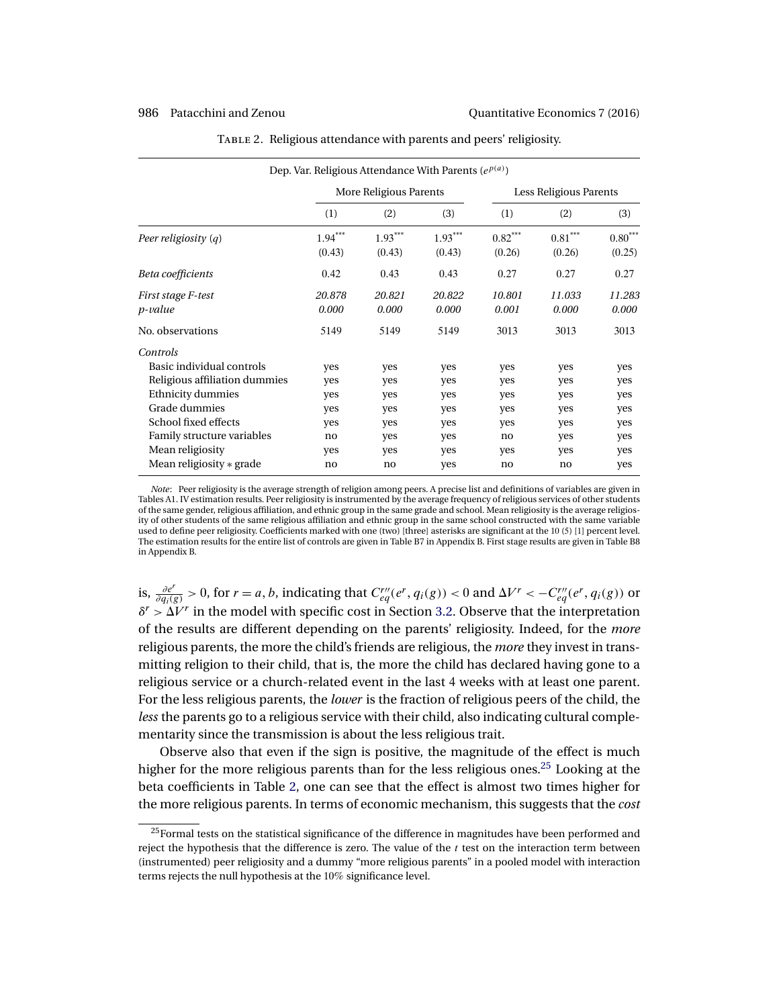<span id="page-17-0"></span>

| Dep. Var. Religious Attendance With Parents ( $e^{p(a)}$ ) |                        |                     |                     |                                 |                                 |                                 |  |
|------------------------------------------------------------|------------------------|---------------------|---------------------|---------------------------------|---------------------------------|---------------------------------|--|
|                                                            | More Religious Parents |                     |                     | Less Religious Parents          |                                 |                                 |  |
|                                                            | (1)                    | (2)                 | (3)                 | (1)                             | (2)                             | (3)                             |  |
| Peer religiosity $(q)$                                     | $1.94***$<br>(0.43)    | $1.93***$<br>(0.43) | $1.93***$<br>(0.43) | $0.82^{\ast\ast\ast}$<br>(0.26) | $0.81^{\ast\ast\ast}$<br>(0.26) | $0.80^{\ast\ast\ast}$<br>(0.25) |  |
| Beta coefficients                                          | 0.42                   | 0.43                | 0.43                | 0.27                            | 0.27                            | 0.27                            |  |
| First stage F-test<br><i>p</i> -value                      | 20.878<br>0.000        | 20.821<br>0.000     | 20.822<br>0.000     | 10.801<br>0.001                 | 11.033<br>0.000                 | 11.283<br>0.000                 |  |
| No. observations                                           | 5149                   | 5149                | 5149                | 3013                            | 3013                            | 3013                            |  |
| Controls                                                   |                        |                     |                     |                                 |                                 |                                 |  |
| Basic individual controls                                  | yes                    | yes                 | yes                 | yes                             | yes                             | yes                             |  |
| Religious affiliation dummies                              | yes                    | yes                 | yes                 | yes                             | yes                             | yes                             |  |
| Ethnicity dummies                                          | yes                    | yes                 | yes                 | yes                             | yes                             | yes                             |  |
| Grade dummies                                              | yes                    | yes                 | yes                 | yes                             | yes                             | yes                             |  |
| School fixed effects                                       | yes                    | yes                 | yes                 | yes                             | yes                             | yes                             |  |
| Family structure variables                                 | no                     | yes                 | yes                 | no                              | yes                             | yes                             |  |
| Mean religiosity                                           | yes                    | yes                 | yes                 | yes                             | yes                             | yes                             |  |
| Mean religiosity * grade                                   | no                     | no                  | yes                 | no                              | no                              | yes                             |  |

Table 2. Religious attendance with parents and peers' religiosity.

*Note*: Peer religiosity is the average strength of religion among peers. A precise list and definitions of variables are given in Tables A1. IV estimation results. Peer religiosity is instrumented by the average frequency of religious services of other students of the same gender, religious affiliation, and ethnic group in the same grade and school. Mean religiosity is the average religiosity of other students of the same religious affiliation and ethnic group in the same school constructed with the same variable used to define peer religiosity. Coefficients marked with one (two) [three] asterisks are significant at the 10 (5) [1] percent level. The estimation results for the entire list of controls are given in Table B7 in Appendix B. First stage results are given in Table B8 in Appendix B.

is,  $\frac{\partial e^r}{\partial q_i(g)} > 0$ , for  $r = a, b$ , indicating that  $C_{eq}^{r''}(e^r, q_i(g)) < 0$  and  $\Delta V^r < -C_{eq}^{r''}(e^r, q_i(g))$  or  $\delta^r > \Delta V^r$  in the model with specific cost in Section [3.2.](#page-8-0) Observe that the interpretation of the results are different depending on the parents' religiosity. Indeed, for the *more* religious parents, the more the child's friends are religious, the *more* they invest in transmitting religion to their child, that is, the more the child has declared having gone to a religious service or a church-related event in the last 4 weeks with at least one parent. For the less religious parents, the *lower* is the fraction of religious peers of the child, the *less* the parents go to a religious service with their child, also indicating cultural complementarity since the transmission is about the less religious trait.

Observe also that even if the sign is positive, the magnitude of the effect is much higher for the more religious parents than for the less religious ones.<sup>25</sup> Looking at the beta coefficients in Table 2, one can see that the effect is almost two times higher for the more religious parents. In terms of economic mechanism, this suggests that the *cost*

 $25$ Formal tests on the statistical significance of the difference in magnitudes have been performed and reject the hypothesis that the difference is zero. The value of the  $t$  test on the interaction term between (instrumented) peer religiosity and a dummy "more religious parents" in a pooled model with interaction terms rejects the null hypothesis at the 10% significance level.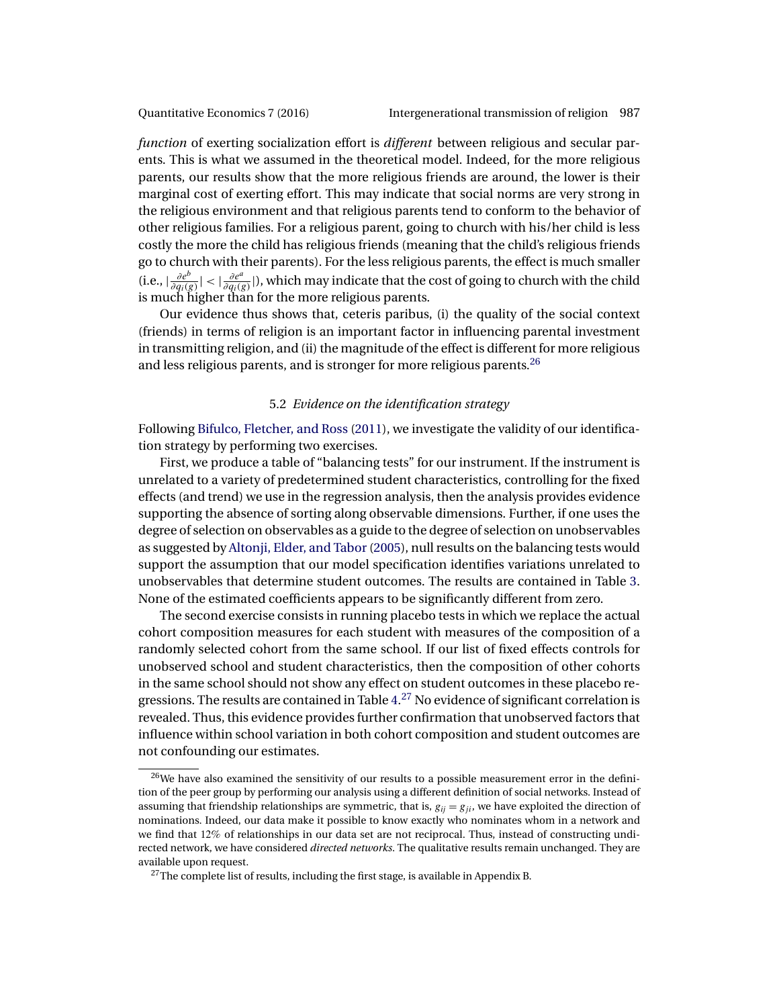<span id="page-18-0"></span>

*function* of exerting socialization effort is *different* between religious and secular parents. This is what we assumed in the theoretical model. Indeed, for the more religious parents, our results show that the more religious friends are around, the lower is their marginal cost of exerting effort. This may indicate that social norms are very strong in the religious environment and that religious parents tend to conform to the behavior of other religious families. For a religious parent, going to church with his/her child is less costly the more the child has religious friends (meaning that the child's religious friends go to church with their parents). For the less religious parents, the effect is much smaller (i.e.,  $|\frac{\partial e^b}{\partial q_i(g)}| < |\frac{\partial e^a}{\partial q_i(g)}|$ ), which may indicate that the cost of going to church with the child is much higher than for the more religious parents.

Our evidence thus shows that, ceteris paribus, (i) the quality of the social context (friends) in terms of religion is an important factor in influencing parental investment in transmitting religion, and (ii) the magnitude of the effect is different for more religious and less religious parents, and is stronger for more religious parents.<sup>26</sup>

# 5.2 *Evidence on the identification strategy*

Following [Bifulco, Fletcher, and Ross](#page-22-0) [\(2011\)](#page-22-0), we investigate the validity of our identification strategy by performing two exercises.

First, we produce a table of "balancing tests" for our instrument. If the instrument is unrelated to a variety of predetermined student characteristics, controlling for the fixed effects (and trend) we use in the regression analysis, then the analysis provides evidence supporting the absence of sorting along observable dimensions. Further, if one uses the degree of selection on observables as a guide to the degree of selection on unobservables as suggested by [Altonji, Elder, and Tabor\(2005\)](#page-22-0), null results on the balancing tests would support the assumption that our model specification identifies variations unrelated to unobservables that determine student outcomes. The results are contained in Table [3.](#page-19-0) None of the estimated coefficients appears to be significantly different from zero.

The second exercise consists in running placebo tests in which we replace the actual cohort composition measures for each student with measures of the composition of a randomly selected cohort from the same school. If our list of fixed effects controls for unobserved school and student characteristics, then the composition of other cohorts in the same school should not show any effect on student outcomes in these placebo regressions. The results are contained in Table  $4.^{27}$  $4.^{27}$  No evidence of significant correlation is revealed. Thus, this evidence provides further confirmation that unobserved factors that influence within school variation in both cohort composition and student outcomes are not confounding our estimates.

 $26$ We have also examined the sensitivity of our results to a possible measurement error in the definition of the peer group by performing our analysis using a different definition of social networks. Instead of assuming that friendship relationships are symmetric, that is,  $g_{ij} = g_{ji}$ , we have exploited the direction of nominations. Indeed, our data make it possible to know exactly who nominates whom in a network and we find that 12% of relationships in our data set are not reciprocal. Thus, instead of constructing undirected network, we have considered *directed networks*. The qualitative results remain unchanged. They are available upon request.

 $27$ The complete list of results, including the first stage, is available in Appendix B.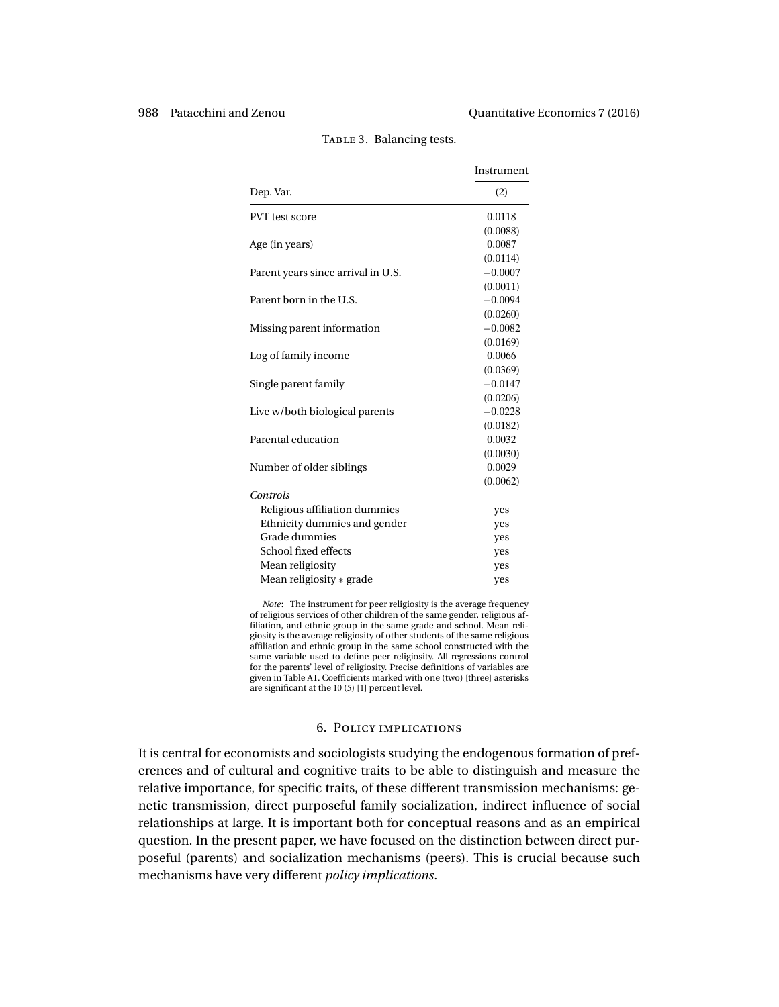<span id="page-19-0"></span>

|                                    | Instrument |
|------------------------------------|------------|
| Dep. Var.                          | (2)        |
| <b>PVT</b> test score              | 0.0118     |
|                                    | (0.0088)   |
| Age (in years)                     | 0.0087     |
|                                    | (0.0114)   |
| Parent years since arrival in U.S. | $-0.0007$  |
|                                    | (0.0011)   |
| Parent born in the U.S.            | $-0.0094$  |
|                                    | (0.0260)   |
| Missing parent information         | $-0.0082$  |
|                                    | (0.0169)   |
| Log of family income               | 0.0066     |
|                                    | (0.0369)   |
| Single parent family               | $-0.0147$  |
|                                    | (0.0206)   |
| Live w/both biological parents     | $-0.0228$  |
|                                    | (0.0182)   |
| Parental education                 | 0.0032     |
|                                    | (0.0030)   |
| Number of older siblings           | 0.0029     |
|                                    | (0.0062)   |
| Controls                           |            |
| Religious affiliation dummies      | yes        |
| Ethnicity dummies and gender       | yes        |
| Grade dummies                      | yes        |
| School fixed effects               | yes        |
| Mean religiosity                   | yes        |
| Mean religiosity $*$ grade         | yes        |

TABLE 3. Balancing tests.

*Note*: The instrument for peer religiosity is the average frequency of religious services of other children of the same gender, religious affiliation, and ethnic group in the same grade and school. Mean religiosity is the average religiosity of other students of the same religious affiliation and ethnic group in the same school constructed with the same variable used to define peer religiosity. All regressions control for the parents' level of religiosity. Precise definitions of variables are given in Table A1. Coefficients marked with one (two) [three] asterisks are significant at the 10 (5) [1] percent level.

### 6. Policy implications

It is central for economists and sociologists studying the endogenous formation of preferences and of cultural and cognitive traits to be able to distinguish and measure the relative importance, for specific traits, of these different transmission mechanisms: genetic transmission, direct purposeful family socialization, indirect influence of social relationships at large. It is important both for conceptual reasons and as an empirical question. In the present paper, we have focused on the distinction between direct purposeful (parents) and socialization mechanisms (peers). This is crucial because such mechanisms have very different *policy implications*.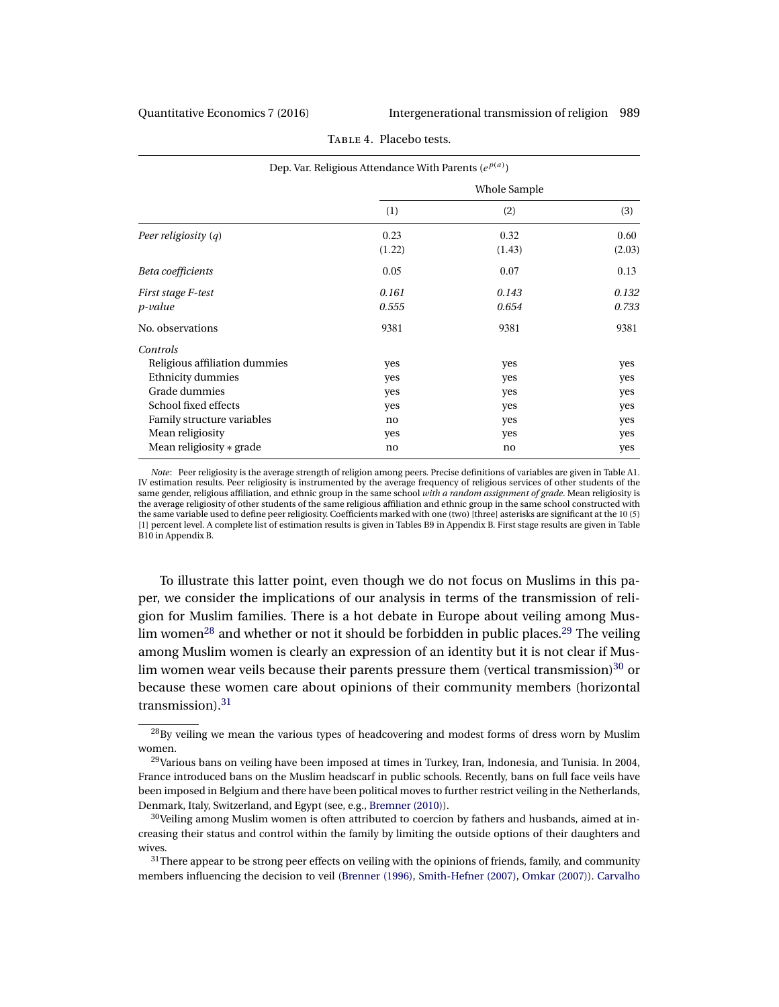<span id="page-20-0"></span>

|                               | Dep. Var. Religious Attendance With Parents ( $e^{p(a)}$ ) |        |        |  |
|-------------------------------|------------------------------------------------------------|--------|--------|--|
|                               | Whole Sample                                               |        |        |  |
|                               | (1)                                                        | (2)    | (3)    |  |
| Peer religiosity $(q)$        | 0.23                                                       | 0.32   | 0.60   |  |
|                               | (1.22)                                                     | (1.43) | (2.03) |  |
| Beta coefficients             | 0.05                                                       | 0.07   | 0.13   |  |
| First stage F-test            | 0.161                                                      | 0.143  | 0.132  |  |
| <i>p</i> -value               | 0.555                                                      | 0.654  | 0.733  |  |
| No. observations              | 9381                                                       | 9381   | 9381   |  |
| Controls                      |                                                            |        |        |  |
| Religious affiliation dummies | yes                                                        | yes    | yes    |  |
| Ethnicity dummies             | yes                                                        | yes    | yes    |  |
| Grade dummies                 | yes                                                        | yes    | yes    |  |
| School fixed effects          | yes                                                        | yes    | yes    |  |
| Family structure variables    | no                                                         | yes    | yes    |  |
| Mean religiosity              | yes                                                        | yes    | yes    |  |
| Mean religiosity $*$ grade    | no                                                         | no     | yes    |  |

# TABLE 4. Placebo tests.

*Note*: Peer religiosity is the average strength of religion among peers. Precise definitions of variables are given in Table A1. IV estimation results. Peer religiosity is instrumented by the average frequency of religious services of other students of the same gender, religious affiliation, and ethnic group in the same school *with a random assignment of grade*. Mean religiosity is the average religiosity of other students of the same religious affiliation and ethnic group in the same school constructed with the same variable used to define peer religiosity. Coefficients marked with one (two) [three] asterisks are significant at the 10 (5) [1] percent level. A complete list of estimation results is given in Tables B9 in Appendix B. First stage results are given in Table B10 in Appendix B.

To illustrate this latter point, even though we do not focus on Muslims in this paper, we consider the implications of our analysis in terms of the transmission of religion for Muslim families. There is a hot debate in Europe about veiling among Muslim women<sup>28</sup> and whether or not it should be forbidden in public places.<sup>29</sup> The veiling among Muslim women is clearly an expression of an identity but it is not clear if Muslim women wear veils because their parents pressure them (vertical transmission)<sup>30</sup> or because these women care about opinions of their community members (horizontal transmission). $31$ 

 $28By$  veiling we mean the various types of headcovering and modest forms of dress worn by Muslim women.

<sup>29</sup>Various bans on veiling have been imposed at times in Turkey, Iran, Indonesia, and Tunisia. In 2004, France introduced bans on the Muslim headscarf in public schools. Recently, bans on full face veils have been imposed in Belgium and there have been political moves to further restrict veiling in the Netherlands, Denmark, Italy, Switzerland, and Egypt (see, e.g., [Bremner \(2010\)\)](#page-23-0).

 $30$ Veiling among Muslim women is often attributed to coercion by fathers and husbands, aimed at increasing their status and control within the family by limiting the outside options of their daughters and wives.

 $31$ There appear to be strong peer effects on veiling with the opinions of friends, family, and community members influencing the decision to veil [\(Brenner \(1996\),](#page-23-0) [Smith-Hefner \(2007\),](#page-25-0) [Omkar \(2007\)\)](#page-25-0). [Carvalho](#page-23-0)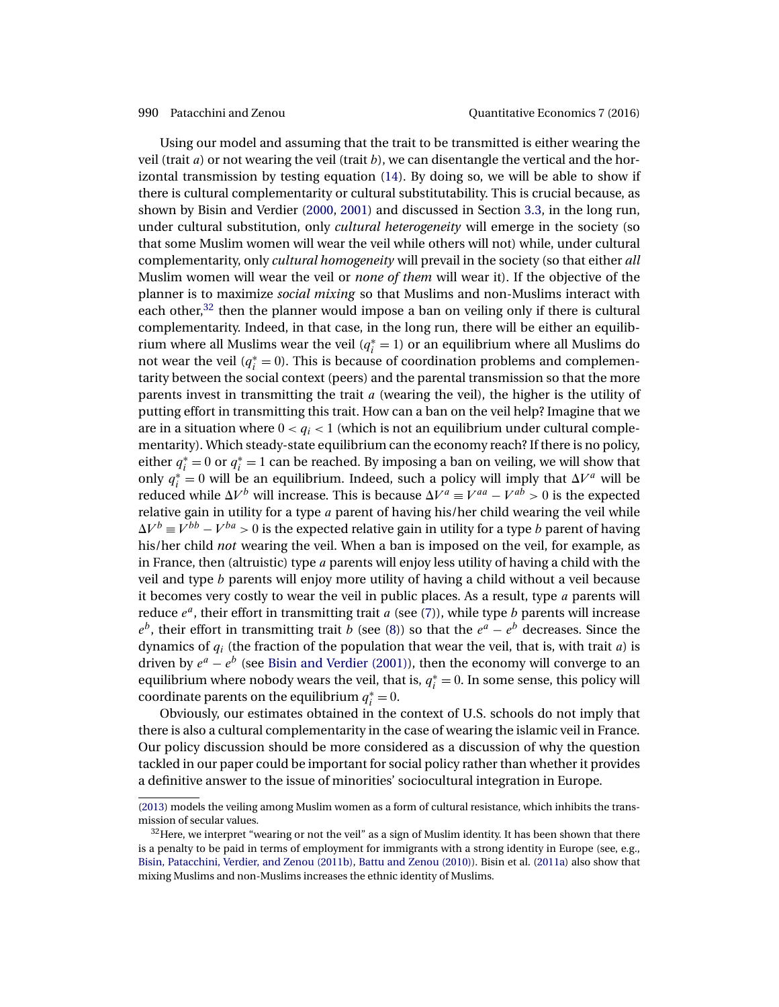<span id="page-21-0"></span>Using our model and assuming that the trait to be transmitted is either wearing the veil (trait  $a$ ) or not wearing the veil (trait  $b$ ), we can disentangle the vertical and the horizontal transmission by testing equation [\(14\)](#page-10-0). By doing so, we will be able to show if there is cultural complementarity or cultural substitutability. This is crucial because, as shown by Bisin and Verdier [\(2000,](#page-23-0) [2001\)](#page-23-0) and discussed in Section [3.3,](#page-9-0) in the long run, under cultural substitution, only *cultural heterogeneity* will emerge in the society (so that some Muslim women will wear the veil while others will not) while, under cultural complementarity, only *cultural homogeneity* will prevail in the society (so that either *all* Muslim women will wear the veil or *none of them* will wear it). If the objective of the planner is to maximize *social mixing* so that Muslims and non-Muslims interact with each other, $32$  then the planner would impose a ban on veiling only if there is cultural complementarity. Indeed, in that case, in the long run, there will be either an equilibrium where all Muslims wear the veil  $(q_i^* = 1)$  or an equilibrium where all Muslims do not wear the veil  $(q_i^* = 0)$ . This is because of coordination problems and complementarity between the social context (peers) and the parental transmission so that the more parents invest in transmitting the trait  $a$  (wearing the veil), the higher is the utility of putting effort in transmitting this trait. How can a ban on the veil help? Imagine that we are in a situation where  $0 < q_i < 1$  (which is not an equilibrium under cultural complementarity). Which steady-state equilibrium can the economy reach? If there is no policy, either  $q_i^* = 0$  or  $q_i^* = 1$  can be reached. By imposing a ban on veiling, we will show that only  $q_i^* = 0$  will be an equilibrium. Indeed, such a policy will imply that  $\Delta V^a$  will be reduced while  $\Delta V^b$  will increase. This is because  $\Delta V^a \equiv V^{aa}-V^{ab}>0$  is the expected relative gain in utility for a type  $a$  parent of having his/her child wearing the veil while  $\Delta V^b \equiv V^{bb} - V^{ba} > 0$  is the expected relative gain in utility for a type b parent of having his/her child *not* wearing the veil. When a ban is imposed on the veil, for example, as in France, then (altruistic) type  $a$  parents will enjoy less utility of having a child with the veil and type b parents will enjoy more utility of having a child without a veil because it becomes very costly to wear the veil in public places. As a result, type a parents will reduce  $e^a$ , their effort in transmitting trait a (see [\(7\)](#page-6-0)), while type b parents will increase  $e^b$ , their effort in transmitting trait b (see [\(8\)](#page-6-0)) so that the  $e^a - e^b$  decreases. Since the dynamics of  $q_i$  (the fraction of the population that wear the veil, that is, with trait a) is driven by  $e^a - e^b$  (see [Bisin and Verdier \(2001\)\)](#page-23-0), then the economy will converge to an equilibrium where nobody wears the veil, that is,  $q_i^* = 0$ . In some sense, this policy will coordinate parents on the equilibrium  $q_i^* = 0$ .

Obviously, our estimates obtained in the context of U.S. schools do not imply that there is also a cultural complementarity in the case of wearing the islamic veil in France. Our policy discussion should be more considered as a discussion of why the question tackled in our paper could be important for social policy rather than whether it provides a definitive answer to the issue of minorities' sociocultural integration in Europe.

[<sup>\(2013\)</sup>](#page-23-0) models the veiling among Muslim women as a form of cultural resistance, which inhibits the transmission of secular values.

 $32$  Here, we interpret "wearing or not the veil" as a sign of Muslim identity. It has been shown that there is a penalty to be paid in terms of employment for immigrants with a strong identity in Europe (see, e.g., [Bisin, Patacchini, Verdier, and Zenou \(2011b\),](#page-22-0) [Battu and Zenou \(2010\)\)](#page-22-0). Bisin et al. [\(2011a\)](#page-22-0) also show that mixing Muslims and non-Muslims increases the ethnic identity of Muslims.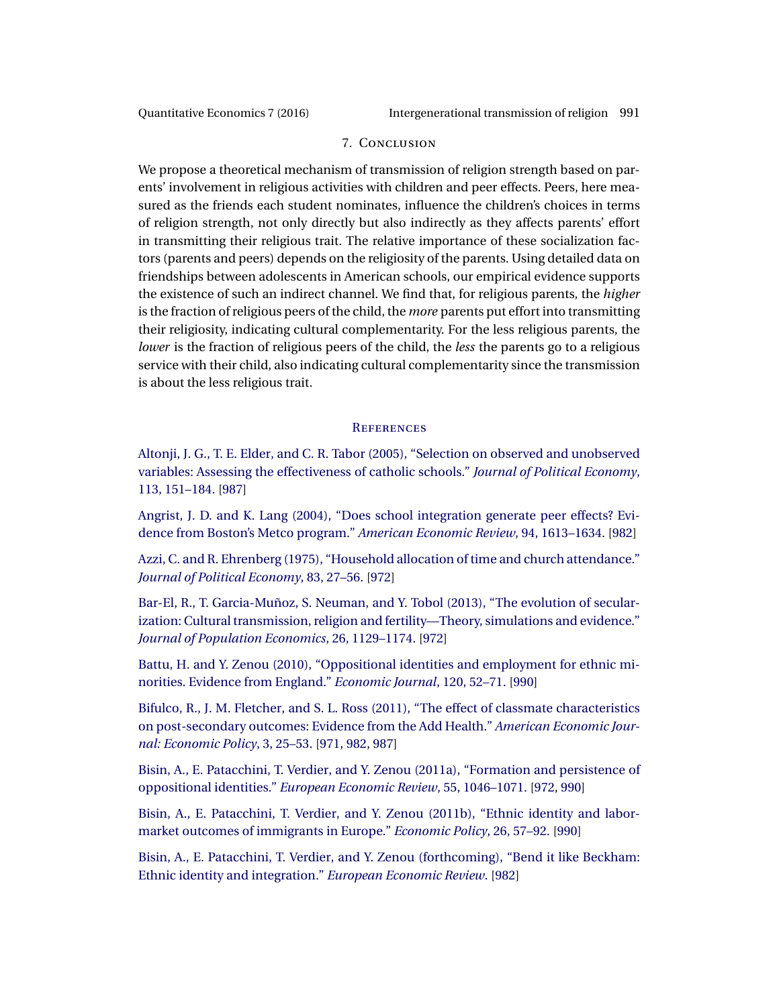# 7. Conclusion

<span id="page-22-0"></span>We propose a theoretical mechanism of transmission of religion strength based on parents' involvement in religious activities with children and peer effects. Peers, here measured as the friends each student nominates, influence the children's choices in terms of religion strength, not only directly but also indirectly as they affects parents' effort in transmitting their religious trait. The relative importance of these socialization factors (parents and peers) depends on the religiosity of the parents. Using detailed data on friendships between adolescents in American schools, our empirical evidence supports the existence of such an indirect channel. We find that, for religious parents, the *higher* is the fraction of religious peers of the child, the *more* parents put effort into transmitting their religiosity, indicating cultural complementarity. For the less religious parents, the *lower* is the fraction of religious peers of the child, the *less* the parents go to a religious service with their child, also indicating cultural complementarity since the transmission is about the less religious trait.

# **REFERENCES**

[Altonji, J. G., T. E. Elder, and C. R. Tabor \(2005\), "Selection on observed and unobserved](http://www.e-publications.org/srv/qe/linkserver/openurl?rft_dat=bib:1/AEH&rfe_id=urn:sici%2F1759-7323%28201611%297%3A3%3C969%3ASNAPBI%3E2.0.CO%3B2-S) [variables: Assessing the effectiveness of catholic schools."](http://www.e-publications.org/srv/qe/linkserver/openurl?rft_dat=bib:1/AEH&rfe_id=urn:sici%2F1759-7323%28201611%297%3A3%3C969%3ASNAPBI%3E2.0.CO%3B2-S) *Journal of Political Economy*, [113, 151–184.](http://www.e-publications.org/srv/qe/linkserver/openurl?rft_dat=bib:1/AEH&rfe_id=urn:sici%2F1759-7323%28201611%297%3A3%3C969%3ASNAPBI%3E2.0.CO%3B2-S) [\[987\]](#page-18-0)

[Angrist, J. D. and K. Lang \(2004\), "Does school integration generate peer effects? Evi](http://www.e-publications.org/srv/qe/linkserver/openurl?rft_dat=bib:2/AnLan&rfe_id=urn:sici%2F1759-7323%28201611%297%3A3%3C969%3ASNAPBI%3E2.0.CO%3B2-S)[dence from Boston's Metco program."](http://www.e-publications.org/srv/qe/linkserver/openurl?rft_dat=bib:2/AnLan&rfe_id=urn:sici%2F1759-7323%28201611%297%3A3%3C969%3ASNAPBI%3E2.0.CO%3B2-S) *American Economic Review*, 94, 1613–1634. [\[982\]](#page-13-0)

[Azzi, C. and R. Ehrenberg \(1975\), "Household allocation of time and church attendance."](http://www.e-publications.org/srv/qe/linkserver/openurl?rft_dat=bib:3/AzzEhr1975&rfe_id=urn:sici%2F1759-7323%28201611%297%3A3%3C969%3ASNAPBI%3E2.0.CO%3B2-S) *[Journal of Political Economy](http://www.e-publications.org/srv/qe/linkserver/openurl?rft_dat=bib:3/AzzEhr1975&rfe_id=urn:sici%2F1759-7323%28201611%297%3A3%3C969%3ASNAPBI%3E2.0.CO%3B2-S)*, 83, 27–56. [\[972\]](#page-3-0)

[Bar-El, R., T. Garcia-Muñoz, S. Neuman, and Y. Tobol \(2013\), "The evolution of secular](http://www.e-publications.org/srv/qe/linkserver/openurl?rft_dat=bib:4/BAR&rfe_id=urn:sici%2F1759-7323%28201611%297%3A3%3C969%3ASNAPBI%3E2.0.CO%3B2-S)[ization: Cultural transmission, religion and fertility—Theory, simulations and evidence."](http://www.e-publications.org/srv/qe/linkserver/openurl?rft_dat=bib:4/BAR&rfe_id=urn:sici%2F1759-7323%28201611%297%3A3%3C969%3ASNAPBI%3E2.0.CO%3B2-S) *[Journal of Population Economics](http://www.e-publications.org/srv/qe/linkserver/openurl?rft_dat=bib:4/BAR&rfe_id=urn:sici%2F1759-7323%28201611%297%3A3%3C969%3ASNAPBI%3E2.0.CO%3B2-S)*, 26, 1129–1174. [\[972\]](#page-3-0)

[Battu, H. and Y. Zenou \(2010\), "Oppositional identities and employment for ethnic mi](http://www.e-publications.org/srv/qe/linkserver/openurl?rft_dat=bib:5/BatZen2010&rfe_id=urn:sici%2F1759-7323%28201611%297%3A3%3C969%3ASNAPBI%3E2.0.CO%3B2-S)[norities. Evidence from England."](http://www.e-publications.org/srv/qe/linkserver/openurl?rft_dat=bib:5/BatZen2010&rfe_id=urn:sici%2F1759-7323%28201611%297%3A3%3C969%3ASNAPBI%3E2.0.CO%3B2-S) *Economic Journal*, 120, 52–71. [\[990\]](#page-21-0)

[Bifulco, R., J. M. Fletcher, and S. L. Ross \(2011\), "The effect of classmate characteristics](http://www.e-publications.org/srv/qe/linkserver/openurl?rft_dat=bib:6/BILF&rfe_id=urn:sici%2F1759-7323%28201611%297%3A3%3C969%3ASNAPBI%3E2.0.CO%3B2-S) [on post-secondary outcomes: Evidence from the Add Health."](http://www.e-publications.org/srv/qe/linkserver/openurl?rft_dat=bib:6/BILF&rfe_id=urn:sici%2F1759-7323%28201611%297%3A3%3C969%3ASNAPBI%3E2.0.CO%3B2-S) *American Economic Jour[nal: Economic Policy](http://www.e-publications.org/srv/qe/linkserver/openurl?rft_dat=bib:6/BILF&rfe_id=urn:sici%2F1759-7323%28201611%297%3A3%3C969%3ASNAPBI%3E2.0.CO%3B2-S)*, 3, 25–53. [\[971,](#page-2-0) [982,](#page-13-0) [987\]](#page-18-0)

[Bisin, A., E. Patacchini, T. Verdier, and Y. Zenou \(2011a\), "Formation and persistence of](http://www.e-publications.org/srv/qe/linkserver/openurl?rft_dat=bib:7/BPVZ1&rfe_id=urn:sici%2F1759-7323%28201611%297%3A3%3C969%3ASNAPBI%3E2.0.CO%3B2-S) oppositional identities." *[European Economic Review](http://www.e-publications.org/srv/qe/linkserver/openurl?rft_dat=bib:7/BPVZ1&rfe_id=urn:sici%2F1759-7323%28201611%297%3A3%3C969%3ASNAPBI%3E2.0.CO%3B2-S)*, 55, 1046–1071. [\[972,](#page-3-0) [990\]](#page-21-0)

[Bisin, A., E. Patacchini, T. Verdier, and Y. Zenou \(2011b\), "Ethnic identity and labor](http://www.e-publications.org/srv/qe/linkserver/openurl?rft_dat=bib:8/Bis&rfe_id=urn:sici%2F1759-7323%28201611%297%3A3%3C969%3ASNAPBI%3E2.0.CO%3B2-S)[market outcomes of immigrants in Europe."](http://www.e-publications.org/srv/qe/linkserver/openurl?rft_dat=bib:8/Bis&rfe_id=urn:sici%2F1759-7323%28201611%297%3A3%3C969%3ASNAPBI%3E2.0.CO%3B2-S) *Economic Policy*, 26, 57–92. [\[990\]](#page-21-0)

[Bisin, A., E. Patacchini, T. Verdier, and Y. Zenou \(forthcoming\), "Bend it like Beckham:](http://www.e-publications.org/srv/qe/linkserver/openurl?rft_dat=bib:9/BEA13&rfe_id=urn:sici%2F1759-7323%28201611%297%3A3%3C969%3ASNAPBI%3E2.0.CO%3B2-S) [Ethnic identity and integration."](http://www.e-publications.org/srv/qe/linkserver/openurl?rft_dat=bib:9/BEA13&rfe_id=urn:sici%2F1759-7323%28201611%297%3A3%3C969%3ASNAPBI%3E2.0.CO%3B2-S) *European Economic Review*. [\[982\]](#page-13-0)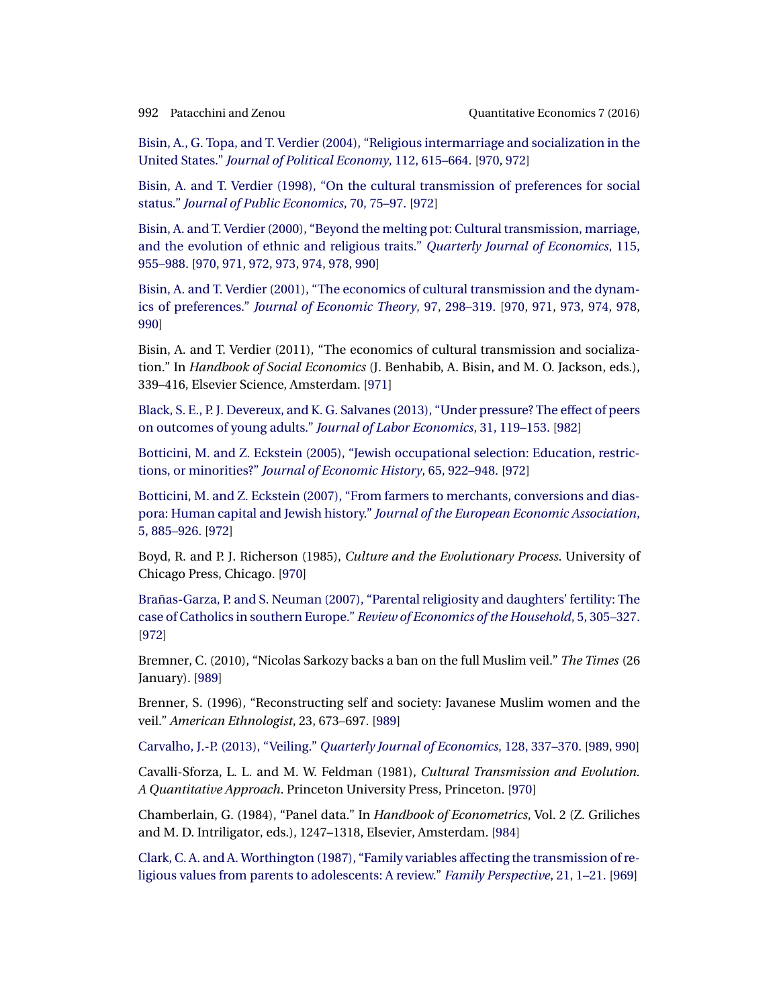<span id="page-23-0"></span>[Bisin, A., G. Topa, and T. Verdier \(2004\), "Religious intermarriage and socialization in the](http://www.e-publications.org/srv/qe/linkserver/openurl?rft_dat=bib:10/BVT&rfe_id=urn:sici%2F1759-7323%28201611%297%3A3%3C969%3ASNAPBI%3E2.0.CO%3B2-S) United States." *[Journal of Political Economy](http://www.e-publications.org/srv/qe/linkserver/openurl?rft_dat=bib:10/BVT&rfe_id=urn:sici%2F1759-7323%28201611%297%3A3%3C969%3ASNAPBI%3E2.0.CO%3B2-S)*, 112, 615–664. [\[970,](#page-1-0) [972\]](#page-3-0)

[Bisin, A. and T. Verdier \(1998\), "On the cultural transmission of preferences for social](http://www.e-publications.org/srv/qe/linkserver/openurl?rft_dat=bib:11/BV4&rfe_id=urn:sici%2F1759-7323%28201611%297%3A3%3C969%3ASNAPBI%3E2.0.CO%3B2-S) status." *[Journal of Public Economics](http://www.e-publications.org/srv/qe/linkserver/openurl?rft_dat=bib:11/BV4&rfe_id=urn:sici%2F1759-7323%28201611%297%3A3%3C969%3ASNAPBI%3E2.0.CO%3B2-S)*, 70, 75–97. [\[972\]](#page-3-0)

[Bisin, A. and T. Verdier \(2000\), "Beyond the melting pot: Cultural transmission, marriage,](http://www.e-publications.org/srv/qe/linkserver/openurl?rft_dat=bib:12/BV1&rfe_id=urn:sici%2F1759-7323%28201611%297%3A3%3C969%3ASNAPBI%3E2.0.CO%3B2-S) [and the evolution of ethnic and religious traits."](http://www.e-publications.org/srv/qe/linkserver/openurl?rft_dat=bib:12/BV1&rfe_id=urn:sici%2F1759-7323%28201611%297%3A3%3C969%3ASNAPBI%3E2.0.CO%3B2-S) *Quarterly Journal of Economics*, 115, [955–988.](http://www.e-publications.org/srv/qe/linkserver/openurl?rft_dat=bib:12/BV1&rfe_id=urn:sici%2F1759-7323%28201611%297%3A3%3C969%3ASNAPBI%3E2.0.CO%3B2-S) [\[970,](#page-1-0) [971,](#page-2-0) [972,](#page-3-0) [973,](#page-4-0) [974,](#page-5-0) [978,](#page-9-0) [990\]](#page-21-0)

[Bisin, A. and T. Verdier \(2001\), "The economics of cultural transmission and the dynam](http://www.e-publications.org/srv/qe/linkserver/openurl?rft_dat=bib:13/BV2&rfe_id=urn:sici%2F1759-7323%28201611%297%3A3%3C969%3ASNAPBI%3E2.0.CO%3B2-S)ics of preferences." *[Journal of Economic Theory](http://www.e-publications.org/srv/qe/linkserver/openurl?rft_dat=bib:13/BV2&rfe_id=urn:sici%2F1759-7323%28201611%297%3A3%3C969%3ASNAPBI%3E2.0.CO%3B2-S)*, 97, 298–319. [\[970,](#page-1-0) [971,](#page-2-0) [973,](#page-4-0) [974,](#page-5-0) [978,](#page-9-0) [990\]](#page-21-0)

Bisin, A. and T. Verdier (2011), "The economics of cultural transmission and socialization." In *Handbook of Social Economics* (J. Benhabib, A. Bisin, and M. O. Jackson, eds.), 339–416, Elsevier Science, Amsterdam. [\[971\]](#page-2-0)

[Black, S. E., P. J. Devereux, and K. G. Salvanes \(2013\), "Under pressure? The effect of peers](http://www.e-publications.org/srv/qe/linkserver/openurl?rft_dat=bib:15/BDS1&rfe_id=urn:sici%2F1759-7323%28201611%297%3A3%3C969%3ASNAPBI%3E2.0.CO%3B2-S) [on outcomes of young adults."](http://www.e-publications.org/srv/qe/linkserver/openurl?rft_dat=bib:15/BDS1&rfe_id=urn:sici%2F1759-7323%28201611%297%3A3%3C969%3ASNAPBI%3E2.0.CO%3B2-S) *Journal of Labor Economics*, 31, 119–153. [\[982\]](#page-13-0)

[Botticini, M. and Z. Eckstein \(2005\), "Jewish occupational selection: Education, restric](http://www.e-publications.org/srv/qe/linkserver/openurl?rft_dat=bib:16/BOEC&rfe_id=urn:sici%2F1759-7323%28201611%297%3A3%3C969%3ASNAPBI%3E2.0.CO%3B2-S)tions, or minorities?" *[Journal of Economic History](http://www.e-publications.org/srv/qe/linkserver/openurl?rft_dat=bib:16/BOEC&rfe_id=urn:sici%2F1759-7323%28201611%297%3A3%3C969%3ASNAPBI%3E2.0.CO%3B2-S)*, 65, 922–948. [\[972\]](#page-3-0)

[Botticini, M. and Z. Eckstein \(2007\), "From farmers to merchants, conversions and dias](http://www.e-publications.org/srv/qe/linkserver/openurl?rft_dat=bib:17/BOEC1&rfe_id=urn:sici%2F1759-7323%28201611%297%3A3%3C969%3ASNAPBI%3E2.0.CO%3B2-S)pora: Human capital and Jewish history." *[Journal of the European Economic Association](http://www.e-publications.org/srv/qe/linkserver/openurl?rft_dat=bib:17/BOEC1&rfe_id=urn:sici%2F1759-7323%28201611%297%3A3%3C969%3ASNAPBI%3E2.0.CO%3B2-S)*, [5, 885–926.](http://www.e-publications.org/srv/qe/linkserver/openurl?rft_dat=bib:17/BOEC1&rfe_id=urn:sici%2F1759-7323%28201611%297%3A3%3C969%3ASNAPBI%3E2.0.CO%3B2-S) [\[972\]](#page-3-0)

Boyd, R. and P. J. Richerson (1985), *Culture and the Evolutionary Process*. University of Chicago Press, Chicago. [\[970\]](#page-1-0)

[Brañas-Garza, P. and S. Neuman \(2007\), "Parental religiosity and daughters' fertility: The](http://www.e-publications.org/srv/qe/linkserver/openurl?rft_dat=bib:19/BN1&rfe_id=urn:sici%2F1759-7323%28201611%297%3A3%3C969%3ASNAPBI%3E2.0.CO%3B2-S) [case of Catholics in southern Europe."](http://www.e-publications.org/srv/qe/linkserver/openurl?rft_dat=bib:19/BN1&rfe_id=urn:sici%2F1759-7323%28201611%297%3A3%3C969%3ASNAPBI%3E2.0.CO%3B2-S) *Review of Economics of the Household*, 5, 305–327. [\[972\]](#page-3-0)

Bremner, C. (2010), "Nicolas Sarkozy backs a ban on the full Muslim veil." *The Times* (26 January). [\[989\]](#page-20-0)

Brenner, S. (1996), "Reconstructing self and society: Javanese Muslim women and the veil." *American Ethnologist*, 23, 673–697. [\[989\]](#page-20-0)

[Carvalho, J.-P. \(2013\), "Veiling."](http://www.e-publications.org/srv/qe/linkserver/openurl?rft_dat=bib:22/CARV&rfe_id=urn:sici%2F1759-7323%28201611%297%3A3%3C969%3ASNAPBI%3E2.0.CO%3B2-S) *Quarterly Journal of Economics*, 128, 337–370. [\[989,](#page-20-0) [990\]](#page-21-0)

Cavalli-Sforza, L. L. and M. W. Feldman (1981), *Cultural Transmission and Evolution. A Quantitative Approach*. Princeton University Press, Princeton. [\[970\]](#page-1-0)

Chamberlain, G. (1984), "Panel data." In *Handbook of Econometrics*, Vol. 2 (Z. Griliches and M. D. Intriligator, eds.), 1247–1318, Elsevier, Amsterdam. [\[984\]](#page-15-0)

[Clark, C. A. and A. Worthington \(1987\), "Family variables affecting the transmission of re](http://www.e-publications.org/srv/qe/linkserver/openurl?rft_dat=bib:25/CLA&rfe_id=urn:sici%2F1759-7323%28201611%297%3A3%3C969%3ASNAPBI%3E2.0.CO%3B2-S)[ligious values from parents to adolescents: A review."](http://www.e-publications.org/srv/qe/linkserver/openurl?rft_dat=bib:25/CLA&rfe_id=urn:sici%2F1759-7323%28201611%297%3A3%3C969%3ASNAPBI%3E2.0.CO%3B2-S) *Family Perspective*, 21, 1–21. [\[969\]](#page-0-0)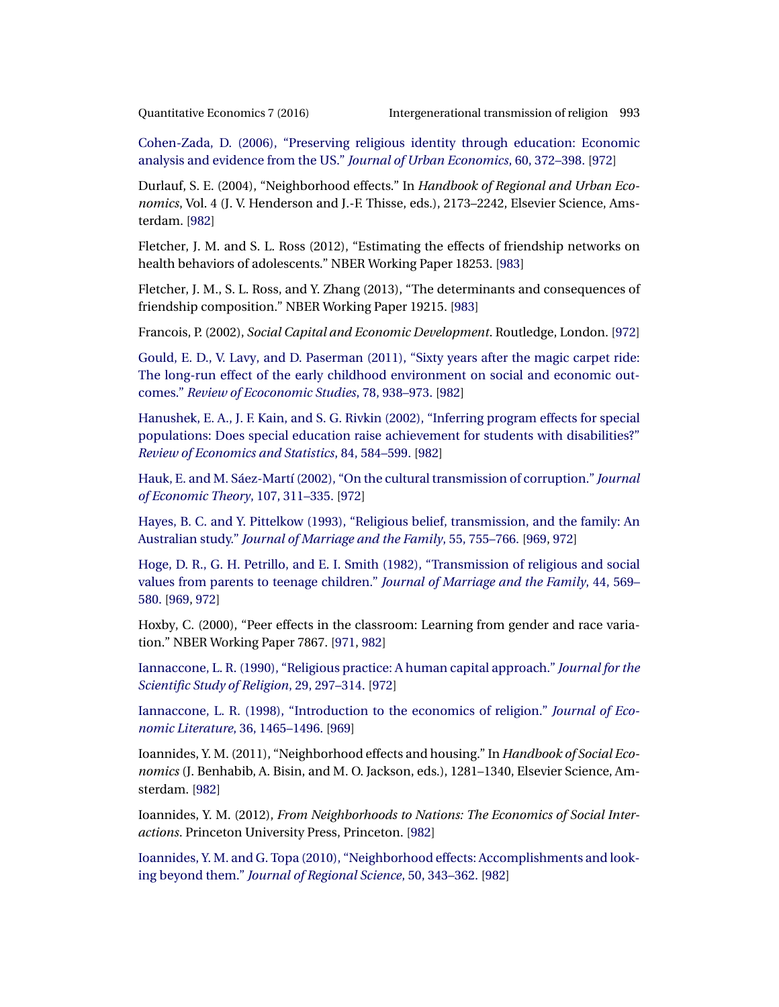<span id="page-24-0"></span>

[Cohen-Zada, D. \(2006\), "Preserving religious identity through education: Economic](http://www.e-publications.org/srv/qe/linkserver/openurl?rft_dat=bib:26/COZA&rfe_id=urn:sici%2F1759-7323%28201611%297%3A3%3C969%3ASNAPBI%3E2.0.CO%3B2-S) [analysis and evidence from the US."](http://www.e-publications.org/srv/qe/linkserver/openurl?rft_dat=bib:26/COZA&rfe_id=urn:sici%2F1759-7323%28201611%297%3A3%3C969%3ASNAPBI%3E2.0.CO%3B2-S) *Journal of Urban Economics*, 60, 372–398. [\[972\]](#page-3-0)

Durlauf, S. E. (2004), "Neighborhood effects." In *Handbook of Regional and Urban Economics*, Vol. 4 (J. V. Henderson and J.-F. Thisse, eds.), 2173–2242, Elsevier Science, Amsterdam. [\[982\]](#page-13-0)

Fletcher, J. M. and S. L. Ross (2012), "Estimating the effects of friendship networks on health behaviors of adolescents." NBER Working Paper 18253. [\[983\]](#page-14-0)

Fletcher, J. M., S. L. Ross, and Y. Zhang (2013), "The determinants and consequences of friendship composition." NBER Working Paper 19215. [\[983\]](#page-14-0)

Francois, P. (2002), *Social Capital and Economic Development*. Routledge, London. [\[972\]](#page-3-0)

[Gould, E. D., V. Lavy, and D. Paserman \(2011\), "Sixty years after the magic carpet ride:](http://www.e-publications.org/srv/qe/linkserver/openurl?rft_dat=bib:31/GLP&rfe_id=urn:sici%2F1759-7323%28201611%297%3A3%3C969%3ASNAPBI%3E2.0.CO%3B2-S) [The long-run effect of the early childhood environment on social and economic out](http://www.e-publications.org/srv/qe/linkserver/openurl?rft_dat=bib:31/GLP&rfe_id=urn:sici%2F1759-7323%28201611%297%3A3%3C969%3ASNAPBI%3E2.0.CO%3B2-S)comes." *[Review of Ecoconomic Studies](http://www.e-publications.org/srv/qe/linkserver/openurl?rft_dat=bib:31/GLP&rfe_id=urn:sici%2F1759-7323%28201611%297%3A3%3C969%3ASNAPBI%3E2.0.CO%3B2-S)*, 78, 938–973. [\[982\]](#page-13-0)

[Hanushek, E. A., J. F. Kain, and S. G. Rivkin \(2002\), "Inferring program effects for special](http://www.e-publications.org/srv/qe/linkserver/openurl?rft_dat=bib:32/Hanu&rfe_id=urn:sici%2F1759-7323%28201611%297%3A3%3C969%3ASNAPBI%3E2.0.CO%3B2-S) [populations: Does special education raise achievement for students with disabilities?"](http://www.e-publications.org/srv/qe/linkserver/openurl?rft_dat=bib:32/Hanu&rfe_id=urn:sici%2F1759-7323%28201611%297%3A3%3C969%3ASNAPBI%3E2.0.CO%3B2-S) *[Review of Economics and Statistics](http://www.e-publications.org/srv/qe/linkserver/openurl?rft_dat=bib:32/Hanu&rfe_id=urn:sici%2F1759-7323%28201611%297%3A3%3C969%3ASNAPBI%3E2.0.CO%3B2-S)*, 84, 584–599. [\[982\]](#page-13-0)

[Hauk, E. and M. Sáez-Martí \(2002\), "On the cultural transmission of corruption."](http://www.e-publications.org/srv/qe/linkserver/openurl?rft_dat=bib:33/HASA&rfe_id=urn:sici%2F1759-7323%28201611%297%3A3%3C969%3ASNAPBI%3E2.0.CO%3B2-S) *Journal [of Economic Theory](http://www.e-publications.org/srv/qe/linkserver/openurl?rft_dat=bib:33/HASA&rfe_id=urn:sici%2F1759-7323%28201611%297%3A3%3C969%3ASNAPBI%3E2.0.CO%3B2-S)*, 107, 311–335. [\[972\]](#page-3-0)

[Hayes, B. C. and Y. Pittelkow \(1993\), "Religious belief, transmission, and the family: An](http://www.e-publications.org/srv/qe/linkserver/openurl?rft_dat=bib:34/HAY&rfe_id=urn:sici%2F1759-7323%28201611%297%3A3%3C969%3ASNAPBI%3E2.0.CO%3B2-S) Australian study." *[Journal of Marriage and the Family](http://www.e-publications.org/srv/qe/linkserver/openurl?rft_dat=bib:34/HAY&rfe_id=urn:sici%2F1759-7323%28201611%297%3A3%3C969%3ASNAPBI%3E2.0.CO%3B2-S)*, 55, 755–766. [\[969,](#page-0-0) [972\]](#page-3-0)

[Hoge, D. R., G. H. Petrillo, and E. I. Smith \(1982\), "Transmission of religious and social](http://www.e-publications.org/srv/qe/linkserver/openurl?rft_dat=bib:35/HOGE&rfe_id=urn:sici%2F1759-7323%28201611%297%3A3%3C969%3ASNAPBI%3E2.0.CO%3B2-S) [values from parents to teenage children."](http://www.e-publications.org/srv/qe/linkserver/openurl?rft_dat=bib:35/HOGE&rfe_id=urn:sici%2F1759-7323%28201611%297%3A3%3C969%3ASNAPBI%3E2.0.CO%3B2-S) *Journal of Marriage and the Family*, 44, 569– [580.](http://www.e-publications.org/srv/qe/linkserver/openurl?rft_dat=bib:35/HOGE&rfe_id=urn:sici%2F1759-7323%28201611%297%3A3%3C969%3ASNAPBI%3E2.0.CO%3B2-S) [\[969,](#page-0-0) [972\]](#page-3-0)

Hoxby, C. (2000), "Peer effects in the classroom: Learning from gender and race variation." NBER Working Paper 7867. [\[971,](#page-2-0) [982\]](#page-13-0)

[Iannaccone, L. R. \(1990\), "Religious practice: A human capital approach."](http://www.e-publications.org/srv/qe/linkserver/openurl?rft_dat=bib:37/IAN1&rfe_id=urn:sici%2F1759-7323%28201611%297%3A3%3C969%3ASNAPBI%3E2.0.CO%3B2-S) *Journal for the [Scientific Study of Religion](http://www.e-publications.org/srv/qe/linkserver/openurl?rft_dat=bib:37/IAN1&rfe_id=urn:sici%2F1759-7323%28201611%297%3A3%3C969%3ASNAPBI%3E2.0.CO%3B2-S)*, 29, 297–314. [\[972\]](#page-3-0)

[Iannaccone, L. R. \(1998\), "Introduction to the economics of religion."](http://www.e-publications.org/srv/qe/linkserver/openurl?rft_dat=bib:38/IAN&rfe_id=urn:sici%2F1759-7323%28201611%297%3A3%3C969%3ASNAPBI%3E2.0.CO%3B2-S) *Journal of Eco[nomic Literature](http://www.e-publications.org/srv/qe/linkserver/openurl?rft_dat=bib:38/IAN&rfe_id=urn:sici%2F1759-7323%28201611%297%3A3%3C969%3ASNAPBI%3E2.0.CO%3B2-S)*, 36, 1465–1496. [\[969\]](#page-0-0)

Ioannides, Y. M. (2011), "Neighborhood effects and housing." In *Handbook of Social Economics* (J. Benhabib, A. Bisin, and M. O. Jackson, eds.), 1281–1340, Elsevier Science, Amsterdam. [\[982\]](#page-13-0)

Ioannides, Y. M. (2012), *From Neighborhoods to Nations: The Economics of Social Interactions*. Princeton University Press, Princeton. [\[982\]](#page-13-0)

[Ioannides, Y. M. and G. Topa \(2010\), "Neighborhood effects: Accomplishments and look](http://www.e-publications.org/srv/qe/linkserver/openurl?rft_dat=bib:41/IOA1&rfe_id=urn:sici%2F1759-7323%28201611%297%3A3%3C969%3ASNAPBI%3E2.0.CO%3B2-S)ing beyond them." *[Journal of Regional Science](http://www.e-publications.org/srv/qe/linkserver/openurl?rft_dat=bib:41/IOA1&rfe_id=urn:sici%2F1759-7323%28201611%297%3A3%3C969%3ASNAPBI%3E2.0.CO%3B2-S)*, 50, 343–362. [\[982\]](#page-13-0)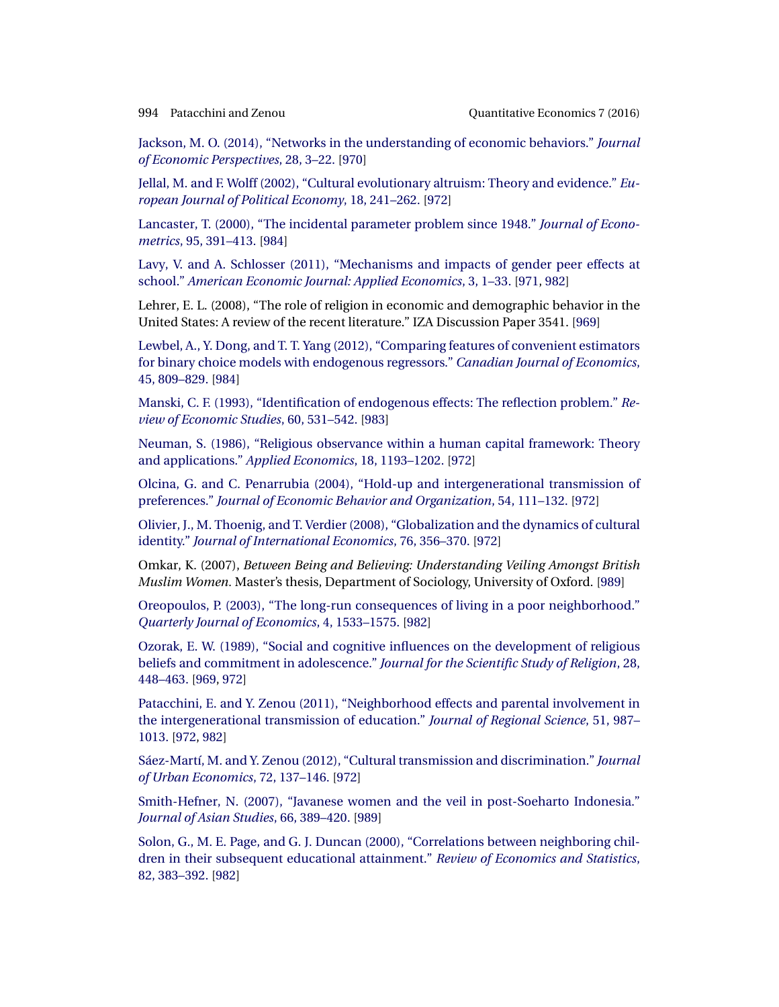<span id="page-25-0"></span>

[Jackson, M. O. \(2014\), "Networks in the understanding of economic behaviors."](http://www.e-publications.org/srv/qe/linkserver/openurl?rft_dat=bib:42/Jack&rfe_id=urn:sici%2F1759-7323%28201611%297%3A3%3C969%3ASNAPBI%3E2.0.CO%3B2-S) *Journal [of Economic Perspectives](http://www.e-publications.org/srv/qe/linkserver/openurl?rft_dat=bib:42/Jack&rfe_id=urn:sici%2F1759-7323%28201611%297%3A3%3C969%3ASNAPBI%3E2.0.CO%3B2-S)*, 28, 3–22. [\[970\]](#page-1-0)

[Jellal, M. and F. Wolff \(2002\), "Cultural evolutionary altruism: Theory and evidence."](http://www.e-publications.org/srv/qe/linkserver/openurl?rft_dat=bib:43/JEWO&rfe_id=urn:sici%2F1759-7323%28201611%297%3A3%3C969%3ASNAPBI%3E2.0.CO%3B2-S) *Eu[ropean Journal of Political Economy](http://www.e-publications.org/srv/qe/linkserver/openurl?rft_dat=bib:43/JEWO&rfe_id=urn:sici%2F1759-7323%28201611%297%3A3%3C969%3ASNAPBI%3E2.0.CO%3B2-S)*, 18, 241–262. [\[972\]](#page-3-0)

[Lancaster, T. \(2000\), "The incidental parameter problem since 1948."](http://www.e-publications.org/srv/qe/linkserver/openurl?rft_dat=bib:44/Lanc&rfe_id=urn:sici%2F1759-7323%28201611%297%3A3%3C969%3ASNAPBI%3E2.0.CO%3B2-S) *Journal of Econometrics*[, 95, 391–413.](http://www.e-publications.org/srv/qe/linkserver/openurl?rft_dat=bib:44/Lanc&rfe_id=urn:sici%2F1759-7323%28201611%297%3A3%3C969%3ASNAPBI%3E2.0.CO%3B2-S) [\[984\]](#page-15-0)

[Lavy, V. and A. Schlosser \(2011\), "Mechanisms and impacts of gender peer effects at](http://www.e-publications.org/srv/qe/linkserver/openurl?rft_dat=bib:45/Lavy&rfe_id=urn:sici%2F1759-7323%28201611%297%3A3%3C969%3ASNAPBI%3E2.0.CO%3B2-S) school." *[American Economic Journal: Applied Economics](http://www.e-publications.org/srv/qe/linkserver/openurl?rft_dat=bib:45/Lavy&rfe_id=urn:sici%2F1759-7323%28201611%297%3A3%3C969%3ASNAPBI%3E2.0.CO%3B2-S)*, 3, 1–33. [\[971,](#page-2-0) [982\]](#page-13-0)

Lehrer, E. L. (2008), "The role of religion in economic and demographic behavior in the United States: A review of the recent literature." IZA Discussion Paper 3541. [\[969\]](#page-0-0)

[Lewbel, A., Y. Dong, and T. T. Yang \(2012\), "Comparing features of convenient estimators](http://www.e-publications.org/srv/qe/linkserver/openurl?rft_dat=bib:47/Lewb&rfe_id=urn:sici%2F1759-7323%28201611%297%3A3%3C969%3ASNAPBI%3E2.0.CO%3B2-S) [for binary choice models with endogenous regressors."](http://www.e-publications.org/srv/qe/linkserver/openurl?rft_dat=bib:47/Lewb&rfe_id=urn:sici%2F1759-7323%28201611%297%3A3%3C969%3ASNAPBI%3E2.0.CO%3B2-S) *Canadian Journal of Economics*, [45, 809–829.](http://www.e-publications.org/srv/qe/linkserver/openurl?rft_dat=bib:47/Lewb&rfe_id=urn:sici%2F1759-7323%28201611%297%3A3%3C969%3ASNAPBI%3E2.0.CO%3B2-S) [\[984\]](#page-15-0)

[Manski, C. F. \(1993\), "Identification of endogenous effects: The reflection problem."](http://www.e-publications.org/srv/qe/linkserver/openurl?rft_dat=bib:48/Ma93&rfe_id=urn:sici%2F1759-7323%28201611%297%3A3%3C969%3ASNAPBI%3E2.0.CO%3B2-S) *Re[view of Economic Studies](http://www.e-publications.org/srv/qe/linkserver/openurl?rft_dat=bib:48/Ma93&rfe_id=urn:sici%2F1759-7323%28201611%297%3A3%3C969%3ASNAPBI%3E2.0.CO%3B2-S)*, 60, 531–542. [\[983\]](#page-14-0)

[Neuman, S. \(1986\), "Religious observance within a human capital framework: Theory](http://www.e-publications.org/srv/qe/linkserver/openurl?rft_dat=bib:49/NEU&rfe_id=urn:sici%2F1759-7323%28201611%297%3A3%3C969%3ASNAPBI%3E2.0.CO%3B2-S) and applications." *[Applied Economics](http://www.e-publications.org/srv/qe/linkserver/openurl?rft_dat=bib:49/NEU&rfe_id=urn:sici%2F1759-7323%28201611%297%3A3%3C969%3ASNAPBI%3E2.0.CO%3B2-S)*, 18, 1193–1202. [\[972\]](#page-3-0)

[Olcina, G. and C. Penarrubia \(2004\), "Hold-up and intergenerational transmission of](http://www.e-publications.org/srv/qe/linkserver/openurl?rft_dat=bib:50/OLPE&rfe_id=urn:sici%2F1759-7323%28201611%297%3A3%3C969%3ASNAPBI%3E2.0.CO%3B2-S) preferences." *[Journal of Economic Behavior and Organization](http://www.e-publications.org/srv/qe/linkserver/openurl?rft_dat=bib:50/OLPE&rfe_id=urn:sici%2F1759-7323%28201611%297%3A3%3C969%3ASNAPBI%3E2.0.CO%3B2-S)*, 54, 111–132. [\[972\]](#page-3-0)

[Olivier, J., M. Thoenig, and T. Verdier \(2008\), "Globalization and the dynamics of cultural](http://www.e-publications.org/srv/qe/linkserver/openurl?rft_dat=bib:51/OTV&rfe_id=urn:sici%2F1759-7323%28201611%297%3A3%3C969%3ASNAPBI%3E2.0.CO%3B2-S) identity." *[Journal of International Economics](http://www.e-publications.org/srv/qe/linkserver/openurl?rft_dat=bib:51/OTV&rfe_id=urn:sici%2F1759-7323%28201611%297%3A3%3C969%3ASNAPBI%3E2.0.CO%3B2-S)*, 76, 356–370. [\[972\]](#page-3-0)

Omkar, K. (2007), *Between Being and Believing: Understanding Veiling Amongst British Muslim Women.* Master's thesis, Department of Sociology, University of Oxford. [\[989\]](#page-20-0)

[Oreopoulos, P. \(2003\), "The long-run consequences of living in a poor neighborhood."](http://www.e-publications.org/srv/qe/linkserver/openurl?rft_dat=bib:53/ORE&rfe_id=urn:sici%2F1759-7323%28201611%297%3A3%3C969%3ASNAPBI%3E2.0.CO%3B2-S) *[Quarterly Journal of Economics](http://www.e-publications.org/srv/qe/linkserver/openurl?rft_dat=bib:53/ORE&rfe_id=urn:sici%2F1759-7323%28201611%297%3A3%3C969%3ASNAPBI%3E2.0.CO%3B2-S)*, 4, 1533–1575. [\[982\]](#page-13-0)

[Ozorak, E. W. \(1989\), "Social and cognitive influences on the development of religious](http://www.e-publications.org/srv/qe/linkserver/openurl?rft_dat=bib:54/OZO&rfe_id=urn:sici%2F1759-7323%28201611%297%3A3%3C969%3ASNAPBI%3E2.0.CO%3B2-S) [beliefs and commitment in adolescence."](http://www.e-publications.org/srv/qe/linkserver/openurl?rft_dat=bib:54/OZO&rfe_id=urn:sici%2F1759-7323%28201611%297%3A3%3C969%3ASNAPBI%3E2.0.CO%3B2-S) *Journal for the Scientific Study of Religion*, 28, [448–463.](http://www.e-publications.org/srv/qe/linkserver/openurl?rft_dat=bib:54/OZO&rfe_id=urn:sici%2F1759-7323%28201611%297%3A3%3C969%3ASNAPBI%3E2.0.CO%3B2-S) [\[969,](#page-0-0) [972\]](#page-3-0)

[Patacchini, E. and Y. Zenou \(2011\), "Neighborhood effects and parental involvement in](http://www.e-publications.org/srv/qe/linkserver/openurl?rft_dat=bib:55/PAZE&rfe_id=urn:sici%2F1759-7323%28201611%297%3A3%3C969%3ASNAPBI%3E2.0.CO%3B2-S) [the intergenerational transmission of education."](http://www.e-publications.org/srv/qe/linkserver/openurl?rft_dat=bib:55/PAZE&rfe_id=urn:sici%2F1759-7323%28201611%297%3A3%3C969%3ASNAPBI%3E2.0.CO%3B2-S) *Journal of Regional Science*, 51, 987– [1013.](http://www.e-publications.org/srv/qe/linkserver/openurl?rft_dat=bib:55/PAZE&rfe_id=urn:sici%2F1759-7323%28201611%297%3A3%3C969%3ASNAPBI%3E2.0.CO%3B2-S) [\[972,](#page-3-0) [982\]](#page-13-0)

[Sáez-Martí, M. and Y. Zenou \(2012\), "Cultural transmission and discrimination."](http://www.e-publications.org/srv/qe/linkserver/openurl?rft_dat=bib:56/SAZE&rfe_id=urn:sici%2F1759-7323%28201611%297%3A3%3C969%3ASNAPBI%3E2.0.CO%3B2-S) *Journal [of Urban Economics](http://www.e-publications.org/srv/qe/linkserver/openurl?rft_dat=bib:56/SAZE&rfe_id=urn:sici%2F1759-7323%28201611%297%3A3%3C969%3ASNAPBI%3E2.0.CO%3B2-S)*, 72, 137–146. [\[972\]](#page-3-0)

[Smith-Hefner, N. \(2007\), "Javanese women and the veil in post-Soeharto Indonesia."](http://www.e-publications.org/srv/qe/linkserver/openurl?rft_dat=bib:57/Smith&rfe_id=urn:sici%2F1759-7323%28201611%297%3A3%3C969%3ASNAPBI%3E2.0.CO%3B2-S) *[Journal of Asian Studies](http://www.e-publications.org/srv/qe/linkserver/openurl?rft_dat=bib:57/Smith&rfe_id=urn:sici%2F1759-7323%28201611%297%3A3%3C969%3ASNAPBI%3E2.0.CO%3B2-S)*, 66, 389–420. [\[989\]](#page-20-0)

[Solon, G., M. E. Page, and G. J. Duncan \(2000\), "Correlations between neighboring chil](http://www.e-publications.org/srv/qe/linkserver/openurl?rft_dat=bib:58/SPD&rfe_id=urn:sici%2F1759-7323%28201611%297%3A3%3C969%3ASNAPBI%3E2.0.CO%3B2-S)[dren in their subsequent educational attainment."](http://www.e-publications.org/srv/qe/linkserver/openurl?rft_dat=bib:58/SPD&rfe_id=urn:sici%2F1759-7323%28201611%297%3A3%3C969%3ASNAPBI%3E2.0.CO%3B2-S) *Review of Economics and Statistics*, [82, 383–392.](http://www.e-publications.org/srv/qe/linkserver/openurl?rft_dat=bib:58/SPD&rfe_id=urn:sici%2F1759-7323%28201611%297%3A3%3C969%3ASNAPBI%3E2.0.CO%3B2-S) [\[982\]](#page-13-0)